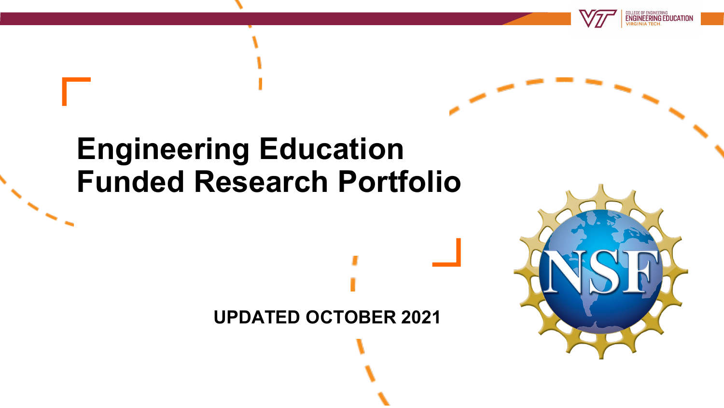

# **UPDATED OCTOBER 2021**



**ENGINEERING EDUCATIO**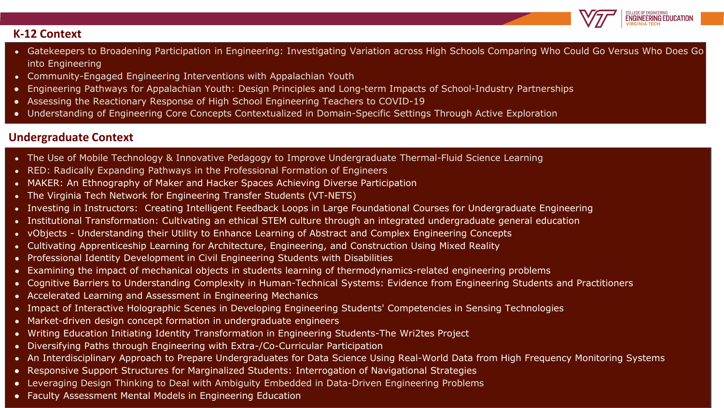

#### **K-12 Context**

- Gatekeepers to Broadening Participation in Engineering: Investigating Variation across High Schools Comparing Who Could Go Versus Who Does Go into Engineering
- Community-Engaged Engineering Interventions with Appalachian Youth
- Engineering Pathways for Appalachian Youth: Design Principles and Long-term Impacts of School-Industry Partnerships
- Assessing the Reactionary Response of High School Engineering Teachers to COVID-19
- Understanding of Engineering Core Concepts Contextualized in Domain-Specific Settings Through Active Exploration

#### **Undergraduate Context**

- The Use of Mobile Technology & Innovative Pedagogy to Improve Undergraduate Thermal-Fluid Science Learning
- RED: Radically Expanding Pathways in the Professional Formation of Engineers
- MAKER: An Ethnography of Maker and Hacker Spaces Achieving Diverse Participation
- The Virginia Tech Network for Engineering Transfer Students (VT-NETS)
- Investing in Instructors: Creating Intelligent Feedback Loops in Large Foundational Courses for Undergraduate Engineering
- Institutional Transformation: Cultivating an ethical STEM culture through an integrated undergraduate general education
- vObjects Understanding their Utility to Enhance Learning of Abstract and Complex Engineering Concepts
- Cultivating Apprenticeship Learning for Architecture, Engineering, and Construction Using Mixed Reality
- Professional Identity Development in Civil Engineering Students with Disabilities
- Examining the impact of mechanical objects in students learning of thermodynamics-related engineering problems
- Cognitive Barriers to Understanding Complexity in Human-Technical Systems: Evidence from Engineering Students and Practitioners
- Accelerated Learning and Assessment in Engineering Mechanics
- Impact of Interactive Holographic Scenes in Developing Engineering Students' Competencies in Sensing Technologies
- Market-driven design concept formation in undergraduate engineers
- Writing Education Initiating Identity Transformation in Engineering Students-The Wri2tes Project
- Diversifying Paths through Engineering with Extra-/Co-Curricular Participation
- An Interdisciplinary Approach to Prepare Undergraduates for Data Science Using Real-World Data from High Frequency Monitoring Systems
- Responsive Support Structures for Marginalized Students: Interrogation of Navigational Strategies
- Leveraging Design Thinking to Deal with Ambiguity Embedded in Data-Driven Engineering Problems
- Faculty Assessment Mental Models in Engineering Education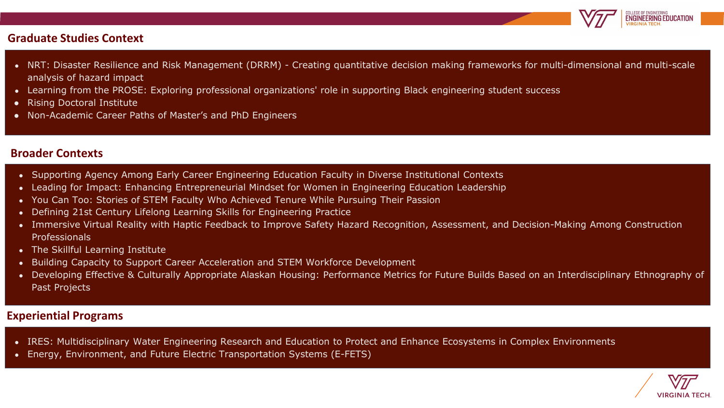

#### **Graduate Studies Context**

- NRT: Disaster Resilience and Risk Management (DRRM) Creating quantitative decision making frameworks for multi-dimensional and multi-scale analysis of hazard impact
- Learning from the PROSE: Exploring professional organizations' role in supporting Black engineering student success
- Rising Doctoral Institute
- Non-Academic Career Paths of Master's and PhD Engineers

#### **Broader Contexts**

- Supporting Agency Among Early Career Engineering Education Faculty in Diverse Institutional Contexts
- Leading for Impact: Enhancing Entrepreneurial Mindset for Women in Engineering Education Leadership
- You Can Too: Stories of STEM Faculty Who Achieved Tenure While Pursuing Their Passion
- Defining 21st Century Lifelong Learning Skills for Engineering Practice
- Immersive Virtual Reality with Haptic Feedback to Improve Safety Hazard Recognition, Assessment, and Decision-Making Among Construction Professionals
- The Skillful Learning Institute
- Building Capacity to Support Career Acceleration and STEM Workforce Development
- Developing Effective & Culturally Appropriate Alaskan Housing: Performance Metrics for Future Builds Based on an Interdisciplinary Ethnography of Past Projects

#### **Experiential Programs**

- IRES: Multidisciplinary Water Engineering Research and Education to Protect and Enhance Ecosystems in Complex Environments
- Energy, Environment, and Future Electric Transportation Systems (E-FETS)

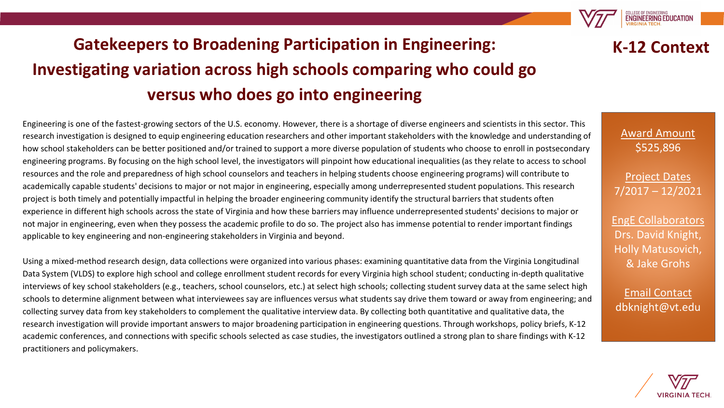# **Gatekeepers to Broadening Participation in Engineering: Investigating variation across high schools comparing who could go versus who does go into engineering**

Engineering is one of the fastest-growing sectors of the U.S. economy. However, there is a shortage of diverse engineers and scientists in this sector. This research investigation is designed to equip engineering education researchers and other important stakeholders with the knowledge and understanding of how school stakeholders can be better positioned and/or trained to support a more diverse population of students who choose to enroll in postsecondary engineering programs. By focusing on the high school level, the investigators will pinpoint how educational inequalities (as they relate to access to school resources and the role and preparedness of high school counselors and teachers in helping students choose engineering programs) will contribute to academically capable students' decisions to major or not major in engineering, especially among underrepresented student populations. This research project is both timely and potentially impactful in helping the broader engineering community identify the structural barriers that students often experience in different high schools across the state of Virginia and how these barriers may influence underrepresented students' decisions to major or not major in engineering, even when they possess the academic profile to do so. The project also has immense potential to render important findings applicable to key engineering and non-engineering stakeholders in Virginia and beyond.

Using a mixed-method research design, data collections were organized into various phases: examining quantitative data from the Virginia Longitudinal Data System (VLDS) to explore high school and college enrollment student records for every Virginia high school student; conducting in-depth qualitative interviews of key school stakeholders (e.g., teachers, school counselors, etc.) at select high schools; collecting student survey data at the same select high schools to determine alignment between what interviewees say are influences versus what students say drive them toward or away from engineering; and collecting survey data from key stakeholders to complement the qualitative interview data. By collecting both quantitative and qualitative data, the research investigation will provide important answers to major broadening participation in engineering questions. Through workshops, policy briefs, K-12 academic conferences, and connections with specific schools selected as case studies, the investigators outlined a strong plan to share findings with K-12 practitioners and policymakers.



**K-12 Context**

**ENGINEERING EDUCATION** 

Project Dates 7/2017 – 12/2021

EngE Collaborators Drs. David Knight, Holly Matusovich, & Jake Grohs

Email Contact dbknight@vt.edu

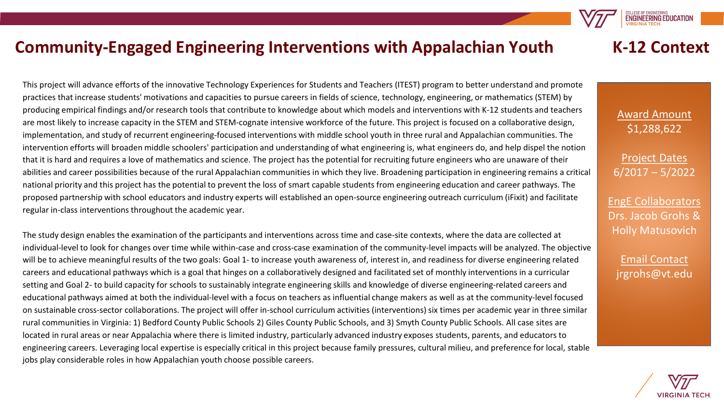#### **Community-Engaged Engineering Interventions with Appalachian Youth**

This project will advance efforts of the innovative Technology Experiences for Students and Teachers (ITEST) program to better understand and promote practices that increase students' motivations and capacities to pursue careers in fields of science, technology, engineering, or mathematics (STEM) by producing empirical findings and/or research tools that contribute to knowledge about which models and interventions with K-12 students and teachers are most likely to increase capacity in the STEM and STEM-cognate intensive workforce of the future. This project is focused on a collaborative design, implementation, and study of recurrent engineering-focused interventions with middle school youth in three rural and Appalachian communities. The intervention efforts will broaden middle schoolers' participation and understanding of what engineering is, what engineers do, and help dispel the notion that it is hard and requires a love of mathematics and science. The project has the potential for recruiting future engineers who are unaware of their abilities and career possibilities because of the rural Appalachian communities in which they live. Broadening participation in engineering remains a critical national priority and this project has the potential to prevent the loss of smart capable students from engineering education and career pathways. The proposed partnership with school educators and industry experts will established an open-source engineering outreach curriculum (iFixit) and facilitate regular in-class interventions throughout the academic year.

The study design enables the examination of the participants and interventions across time and case-site contexts, where the data are collected at individual-level to look for changes over time while within-case and cross-case examination of the community-level impacts will be analyzed. The objective will be to achieve meaningful results of the two goals: Goal 1- to increase youth awareness of, interest in, and readiness for diverse engineering related careers and educational pathways which is a goal that hinges on a collaboratively designed and facilitated set of monthly interventions in a curricular setting and Goal 2- to build capacity for schools to sustainably integrate engineering skills and knowledge of diverse engineering-related careers and educational pathways aimed at both the individual-level with a focus on teachers as influential change makers as well as at the community-level focused on sustainable cross-sector collaborations. The project will offer in-school curriculum activities (interventions) six times per academic year in three similar rural communities in Virginia: 1) Bedford County Public Schools 2) Giles County Public Schools, and 3) Smyth County Public Schools. All case sites are located in rural areas or near Appalachia where there is limited industry, particularly advanced industry exposes students, parents, and educators to engineering careers. Leveraging local expertise is especially critical in this project because family pressures, cultural milieu, and preference for local, stable jobs play considerable roles in how Appalachian youth choose possible careers.

#### **K-12 Context**

**ENGINEERING EDUCATION** 

Award Amount \$1,288,622

Project Dates 6/2017 – 5/2022

EngE Collaborators Drs. Jacob Grohs & Holly Matusovich

Email Contact jrgrohs@vt.edu

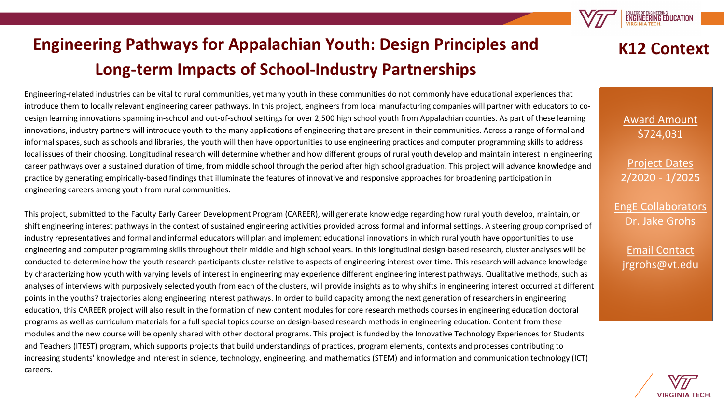

# **Engineering Pathways for Appalachian Youth: Design Principles and Long-term Impacts of School-Industry Partnerships**

Engineering-related industries can be vital to rural communities, yet many youth in these communities do not commonly have educational experiences that introduce them to locally relevant engineering career pathways. In this project, engineers from local manufacturing companies will partner with educators to codesign learning innovations spanning in-school and out-of-school settings for over 2,500 high school youth from Appalachian counties. As part of these learning innovations, industry partners will introduce youth to the many applications of engineering that are present in their communities. Across a range of formal and informal spaces, such as schools and libraries, the youth will then have opportunities to use engineering practices and computer programming skills to address local issues of their choosing. Longitudinal research will determine whether and how different groups of rural youth develop and maintain interest in engineering career pathways over a sustained duration of time, from middle school through the period after high school graduation. This project will advance knowledge and practice by generating empirically-based findings that illuminate the features of innovative and responsive approaches for broadening participation in engineering careers among youth from rural communities.

This project, submitted to the Faculty Early Career Development Program (CAREER), will generate knowledge regarding how rural youth develop, maintain, or shift engineering interest pathways in the context of sustained engineering activities provided across formal and informal settings. A steering group comprised of industry representatives and formal and informal educators will plan and implement educational innovations in which rural youth have opportunities to use engineering and computer programming skills throughout their middle and high school years. In this longitudinal design-based research, cluster analyses will be conducted to determine how the youth research participants cluster relative to aspects of engineering interest over time. This research will advance knowledge by characterizing how youth with varying levels of interest in engineering may experience different engineering interest pathways. Qualitative methods, such as analyses of interviews with purposively selected youth from each of the clusters, will provide insights as to why shifts in engineering interest occurred at different points in the youths? trajectories along engineering interest pathways. In order to build capacity among the next generation of researchers in engineering education, this CAREER project will also result in the formation of new content modules for core research methods courses in engineering education doctoral programs as well as curriculum materials for a full special topics course on design-based research methods in engineering education. Content from these modules and the new course will be openly shared with other doctoral programs. This project is funded by the Innovative Technology Experiences for Students and Teachers (ITEST) program, which supports projects that build understandings of practices, program elements, contexts and processes contributing to increasing students' knowledge and interest in science, technology, engineering, and mathematics (STEM) and information and communication technology (ICT) careers.

Award Amount \$724,031

**K12 Context**

Project Dates 2/2020 - 1/2025

EngE Collaborators Dr. Jake Grohs

Email Contact jrgrohs@vt.edu

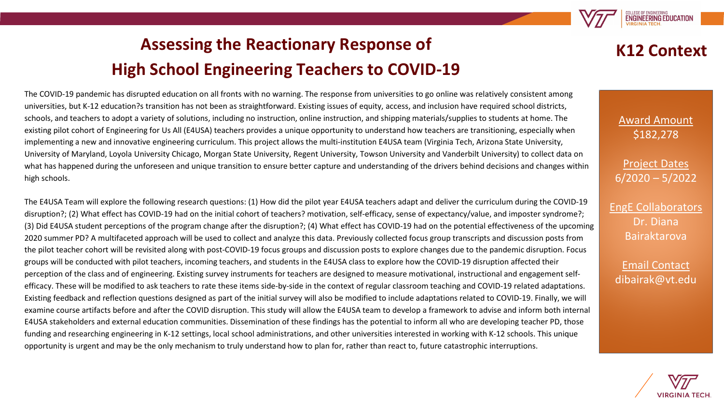

# **Assessing the Reactionary Response of High School Engineering Teachers to COVID-19**

**K12 Context**

The COVID-19 pandemic has disrupted education on all fronts with no warning. The response from universities to go online was relatively consistent among universities, but K-12 education?s transition has not been as straightforward. Existing issues of equity, access, and inclusion have required school districts, schools, and teachers to adopt a variety of solutions, including no instruction, online instruction, and shipping materials/supplies to students at home. The existing pilot cohort of Engineering for Us All (E4USA) teachers provides a unique opportunity to understand how teachers are transitioning, especially when implementing a new and innovative engineering curriculum. This project allows the multi-institution E4USA team (Virginia Tech, Arizona State University, University of Maryland, Loyola University Chicago, Morgan State University, Regent University, Towson University and Vanderbilt University) to collect data on what has happened during the unforeseen and unique transition to ensure better capture and understanding of the drivers behind decisions and changes within high schools.

The E4USA Team will explore the following research questions: (1) How did the pilot year E4USA teachers adapt and deliver the curriculum during the COVID-19 disruption?; (2) What effect has COVID-19 had on the initial cohort of teachers? motivation, self-efficacy, sense of expectancy/value, and imposter syndrome?; (3) Did E4USA student perceptions of the program change after the disruption?; (4) What effect has COVID-19 had on the potential effectiveness of the upcoming 2020 summer PD? A multifaceted approach will be used to collect and analyze this data. Previously collected focus group transcripts and discussion posts from the pilot teacher cohort will be revisited along with post-COVID-19 focus groups and discussion posts to explore changes due to the pandemic disruption. Focus groups will be conducted with pilot teachers, incoming teachers, and students in the E4USA class to explore how the COVID-19 disruption affected their perception of the class and of engineering. Existing survey instruments for teachers are designed to measure motivational, instructional and engagement selfefficacy. These will be modified to ask teachers to rate these items side-by-side in the context of regular classroom teaching and COVID-19 related adaptations. Existing feedback and reflection questions designed as part of the initial survey will also be modified to include adaptations related to COVID-19. Finally, we will examine course artifacts before and after the COVID disruption. This study will allow the E4USA team to develop a framework to advise and inform both internal E4USA stakeholders and external education communities. Dissemination of these findings has the potential to inform all who are developing teacher PD, those funding and researching engineering in K-12 settings, local school administrations, and other universities interested in working with K-12 schools. This unique opportunity is urgent and may be the only mechanism to truly understand how to plan for, rather than react to, future catastrophic interruptions.

Award Amount \$182,278

Project Dates 6/2020 – 5/2022

EngE Collaborators Dr. Diana Bairaktarova

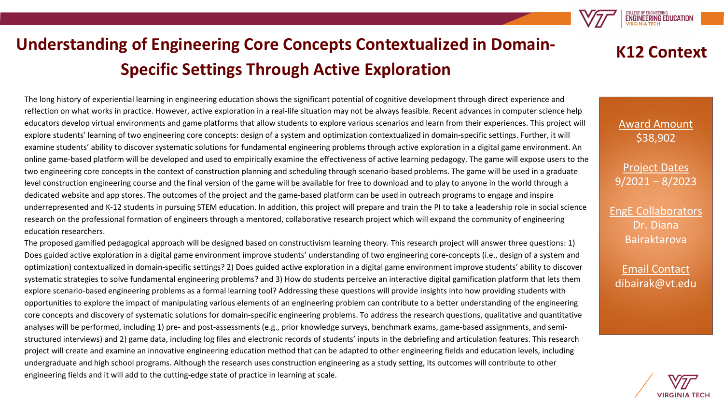

# **Understanding of Engineering Core Concepts Contextualized in Domain-Specific Settings Through Active Exploration**

The long history of experiential learning in engineering education shows the significant potential of cognitive development through direct experience and reflection on what works in practice. However, active exploration in a real-life situation may not be always feasible. Recent advances in computer science help educators develop virtual environments and game platforms that allow students to explore various scenarios and learn from their experiences. This project will explore students' learning of two engineering core concepts: design of a system and optimization contextualized in domain-specific settings. Further, it will examine students' ability to discover systematic solutions for fundamental engineering problems through active exploration in a digital game environment. An online game-based platform will be developed and used to empirically examine the effectiveness of active learning pedagogy. The game will expose users to the two engineering core concepts in the context of construction planning and scheduling through scenario-based problems. The game will be used in a graduate level construction engineering course and the final version of the game will be available for free to download and to play to anyone in the world through a dedicated website and app stores. The outcomes of the project and the game-based platform can be used in outreach programs to engage and inspire underrepresented and K-12 students in pursuing STEM education. In addition, this project will prepare and train the PI to take a leadership role in social science research on the professional formation of engineers through a mentored, collaborative research project which will expand the community of engineering education researchers.

The proposed gamified pedagogical approach will be designed based on constructivism learning theory. This research project will answer three questions: 1) Does guided active exploration in a digital game environment improve students' understanding of two engineering core-concepts (i.e., design of a system and optimization) contextualized in domain-specific settings? 2) Does guided active exploration in a digital game environment improve students' ability to discover systematic strategies to solve fundamental engineering problems? and 3) How do students perceive an interactive digital gamification platform that lets them explore scenario-based engineering problems as a formal learning tool? Addressing these questions will provide insights into how providing students with opportunities to explore the impact of manipulating various elements of an engineering problem can contribute to a better understanding of the engineering core concepts and discovery of systematic solutions for domain-specific engineering problems. To address the research questions, qualitative and quantitative analyses will be performed, including 1) pre- and post-assessments (e.g., prior knowledge surveys, benchmark exams, game-based assignments, and semistructured interviews) and 2) game data, including log files and electronic records of students' inputs in the debriefing and articulation features. This research project will create and examine an innovative engineering education method that can be adapted to other engineering fields and education levels, including undergraduate and high school programs. Although the research uses construction engineering as a study setting, its outcomes will contribute to other engineering fields and it will add to the cutting-edge state of practice in learning at scale.



Award Amount \$38,902

Project Dates 9/2021 – 8/2023

EngE Collaborators Dr. Diana Bairaktarova

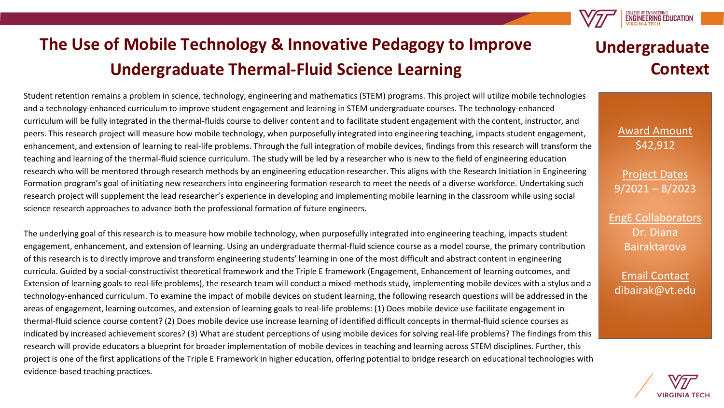# **The Use of Mobile Technology & Innovative Pedagogy to Improve Undergraduate Thermal-Fluid Science Learning**

Student retention remains a problem in science, technology, engineering and mathematics (STEM) programs. This project will utilize mobile technologies and a technology-enhanced curriculum to improve student engagement and learning in STEM undergraduate courses. The technology-enhanced curriculum will be fully integrated in the thermal-fluids course to deliver content and to facilitate student engagement with the content, instructor, and peers. This research project will measure how mobile technology, when purposefully integrated into engineering teaching, impacts student engagement, enhancement, and extension of learning to real-life problems. Through the full integration of mobile devices, findings from this research will transform the teaching and learning of the thermal-fluid science curriculum. The study will be led by a researcher who is new to the field of engineering education research who will be mentored through research methods by an engineering education researcher. This aligns with the Research Initiation in Engineering Formation program's goal of initiating new researchers into engineering formation research to meet the needs of a diverse workforce. Undertaking such research project will supplement the lead researcher's experience in developing and implementing mobile learning in the classroom while using social science research approaches to advance both the professional formation of future engineers.

The underlying goal of this research is to measure how mobile technology, when purposefully integrated into engineering teaching, impacts student engagement, enhancement, and extension of learning. Using an undergraduate thermal-fluid science course as a model course, the primary contribution of this research is to directly improve and transform engineering students' learning in one of the most difficult and abstract content in engineering curricula. Guided by a social-constructivist theoretical framework and the Triple E framework (Engagement, Enhancement of learning outcomes, and Extension of learning goals to real-life problems), the research team will conduct a mixed-methods study, implementing mobile devices with a stylus and a technology-enhanced curriculum. To examine the impact of mobile devices on student learning, the following research questions will be addressed in the areas of engagement, learning outcomes, and extension of learning goals to real-life problems: (1) Does mobile device use facilitate engagement in thermal-fluid science course content? (2) Does mobile device use increase learning of identified difficult concepts in thermal-fluid science courses as indicated by increased achievement scores? (3) What are student perceptions of using mobile devices for solving real-life problems? The findings from this research will provide educators a blueprint for broader implementation of mobile devices in teaching and learning across STEM disciplines. Further, this project is one of the first applications of the Triple E Framework in higher education, offering potential to bridge research on educational technologies with evidence-based teaching practices.

## **Undergraduate Context**

**ENGINEERING EDUCATION** 

Award Amount \$42,912

Project Dates 9/2021 – 8/2023

EngE Collaborators Dr. Diana Bairaktarova

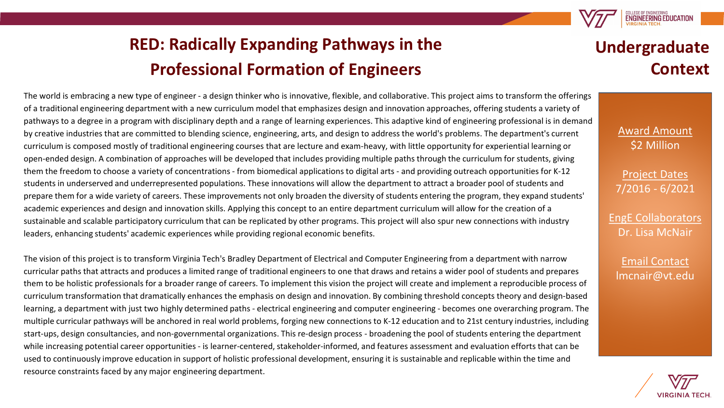

# **RED: Radically Expanding Pathways in the Professional Formation of Engineers**

The world is embracing a new type of engineer - a design thinker who is innovative, flexible, and collaborative. This project aims to transform the offerings of a traditional engineering department with a new curriculum model that emphasizes design and innovation approaches, offering students a variety of pathways to a degree in a program with disciplinary depth and a range of learning experiences. This adaptive kind of engineering professional is in demand by creative industries that are committed to blending science, engineering, arts, and design to address the world's problems. The department's current curriculum is composed mostly of traditional engineering courses that are lecture and exam-heavy, with little opportunity for experiential learning or open-ended design. A combination of approaches will be developed that includes providing multiple paths through the curriculum for students, giving them the freedom to choose a variety of concentrations - from biomedical applications to digital arts - and providing outreach opportunities for K-12 students in underserved and underrepresented populations. These innovations will allow the department to attract a broader pool of students and prepare them for a wide variety of careers. These improvements not only broaden the diversity of students entering the program, they expand students' academic experiences and design and innovation skills. Applying this concept to an entire department curriculum will allow for the creation of a sustainable and scalable participatory curriculum that can be replicated by other programs. This project will also spur new connections with industry leaders, enhancing students' academic experiences while providing regional economic benefits.

The vision of this project is to transform Virginia Tech's Bradley Department of Electrical and Computer Engineering from a department with narrow curricular paths that attracts and produces a limited range of traditional engineers to one that draws and retains a wider pool of students and prepares them to be holistic professionals for a broader range of careers. To implement this vision the project will create and implement a reproducible process of curriculum transformation that dramatically enhances the emphasis on design and innovation. By combining threshold concepts theory and design-based learning, a department with just two highly determined paths - electrical engineering and computer engineering - becomes one overarching program. The multiple curricular pathways will be anchored in real world problems, forging new connections to K-12 education and to 21st century industries, including start-ups, design consultancies, and non-governmental organizations. This re-design process - broadening the pool of students entering the department while increasing potential career opportunities - is learner-centered, stakeholder-informed, and features assessment and evaluation efforts that can be used to continuously improve education in support of holistic professional development, ensuring it is sustainable and replicable within the time and resource constraints faced by any major engineering department.

### **Undergraduate Context**

Award Amount \$2 Million

Project Dates 7/2016 - 6/2021

EngE Collaborators Dr. Lisa McNair

Email Contact lmcnair@vt.edu

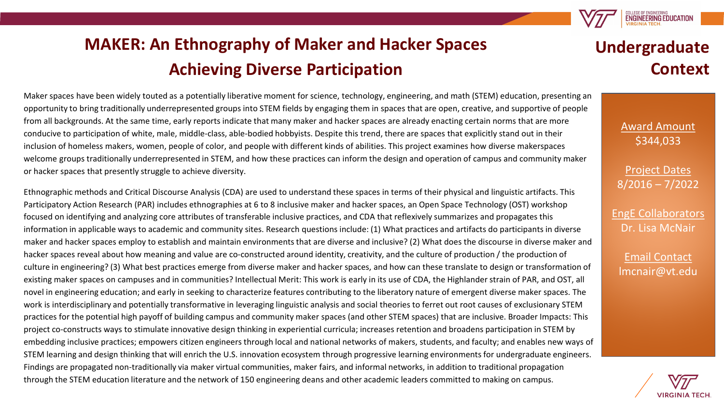**MAKER: An Ethnography of Maker and Hacker Spaces Achieving Diverse Participation**

Maker spaces have been widely touted as a potentially liberative moment for science, technology, engineering, and math (STEM) education, presenting an opportunity to bring traditionally underrepresented groups into STEM fields by engaging them in spaces that are open, creative, and supportive of people from all backgrounds. At the same time, early reports indicate that many maker and hacker spaces are already enacting certain norms that are more conducive to participation of white, male, middle-class, able-bodied hobbyists. Despite this trend, there are spaces that explicitly stand out in their inclusion of homeless makers, women, people of color, and people with different kinds of abilities. This project examines how diverse makerspaces welcome groups traditionally underrepresented in STEM, and how these practices can inform the design and operation of campus and community maker or hacker spaces that presently struggle to achieve diversity.

Ethnographic methods and Critical Discourse Analysis (CDA) are used to understand these spaces in terms of their physical and linguistic artifacts. This Participatory Action Research (PAR) includes ethnographies at 6 to 8 inclusive maker and hacker spaces, an Open Space Technology (OST) workshop focused on identifying and analyzing core attributes of transferable inclusive practices, and CDA that reflexively summarizes and propagates this information in applicable ways to academic and community sites. Research questions include: (1) What practices and artifacts do participants in diverse maker and hacker spaces employ to establish and maintain environments that are diverse and inclusive? (2) What does the discourse in diverse maker and hacker spaces reveal about how meaning and value are co-constructed around identity, creativity, and the culture of production / the production of culture in engineering? (3) What best practices emerge from diverse maker and hacker spaces, and how can these translate to design or transformation of existing maker spaces on campuses and in communities? Intellectual Merit: This work is early in its use of CDA, the Highlander strain of PAR, and OST, all novel in engineering education; and early in seeking to characterize features contributing to the liberatory nature of emergent diverse maker spaces. The work is interdisciplinary and potentially transformative in leveraging linguistic analysis and social theories to ferret out root causes of exclusionary STEM practices for the potential high payoff of building campus and community maker spaces (and other STEM spaces) that are inclusive. Broader Impacts: This project co-constructs ways to stimulate innovative design thinking in experiential curricula; increases retention and broadens participation in STEM by embedding inclusive practices; empowers citizen engineers through local and national networks of makers, students, and faculty; and enables new ways of STEM learning and design thinking that will enrich the U.S. innovation ecosystem through progressive learning environments for undergraduate engineers. Findings are propagated non-traditionally via maker virtual communities, maker fairs, and informal networks, in addition to traditional propagation through the STEM education literature and the network of 150 engineering deans and other academic leaders committed to making on campus.

# **Undergraduate Context**

**ENGINEERING EDUCATION** 

Award Amount \$344,033

Project Dates 8/2016 – 7/2022

EngE Collaborators Dr. Lisa McNair

Email Contact lmcnair@vt.edu

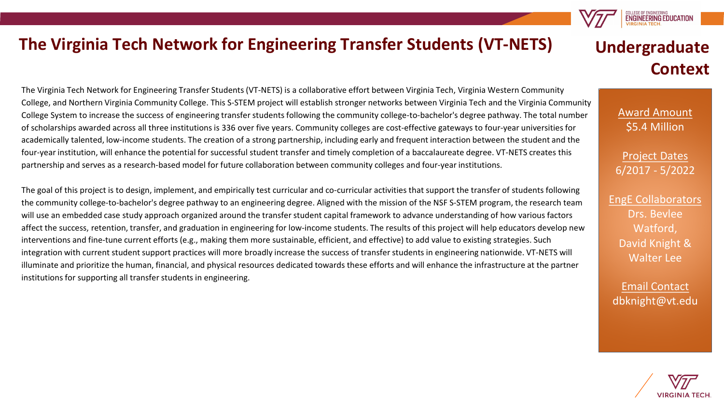#### **The Virginia Tech Network for Engineering Transfer Students (VT-NETS)**

The Virginia Tech Network for Engineering Transfer Students (VT-NETS) is a collaborative effort between Virginia Tech, Virginia Western Community College, and Northern Virginia Community College. This S-STEM project will establish stronger networks between Virginia Tech and the Virginia Community College System to increase the success of engineering transfer students following the community college-to-bachelor's degree pathway. The total number of scholarships awarded across all three institutions is 336 over five years. Community colleges are cost-effective gateways to four-year universities for academically talented, low-income students. The creation of a strong partnership, including early and frequent interaction between the student and the four-year institution, will enhance the potential for successful student transfer and timely completion of a baccalaureate degree. VT-NETS creates this partnership and serves as a research-based model for future collaboration between community colleges and four-year institutions.

The goal of this project is to design, implement, and empirically test curricular and co-curricular activities that support the transfer of students following the community college-to-bachelor's degree pathway to an engineering degree. Aligned with the mission of the NSF S-STEM program, the research team will use an embedded case study approach organized around the transfer student capital framework to advance understanding of how various factors affect the success, retention, transfer, and graduation in engineering for low-income students. The results of this project will help educators develop new interventions and fine-tune current efforts (e.g., making them more sustainable, efficient, and effective) to add value to existing strategies. Such integration with current student support practices will more broadly increase the success of transfer students in engineering nationwide. VT-NETS will illuminate and prioritize the human, financial, and physical resources dedicated towards these efforts and will enhance the infrastructure at the partner institutions for supporting all transfer students in engineering.

### **Undergraduate Context**

**ENGINEERING EDUCATION** 

Award Amount \$5.4 Million

Project Dates 6/2017 - 5/2022

EngE Collaborators Drs. Bevlee Watford, David Knight & Walter Lee

Email Contact dbknight@vt.edu

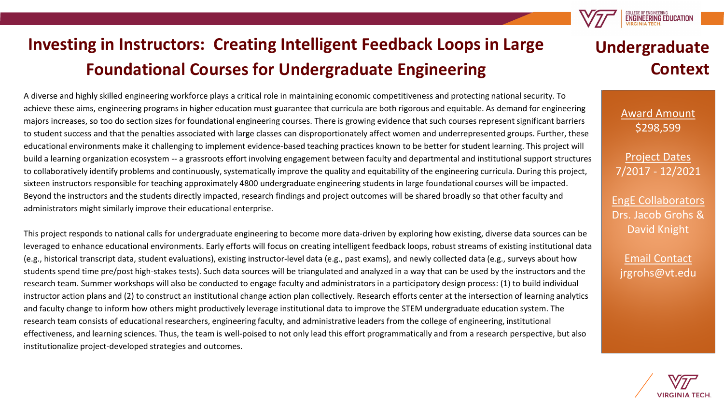# **Investing in Instructors: Creating Intelligent Feedback Loops in Large Foundational Courses for Undergraduate Engineering**

A diverse and highly skilled engineering workforce plays a critical role in maintaining economic competitiveness and protecting national security. To achieve these aims, engineering programs in higher education must guarantee that curricula are both rigorous and equitable. As demand for engineering majors increases, so too do section sizes for foundational engineering courses. There is growing evidence that such courses represent significant barriers to student success and that the penalties associated with large classes can disproportionately affect women and underrepresented groups. Further, these educational environments make it challenging to implement evidence-based teaching practices known to be better for student learning. This project will build a learning organization ecosystem -- a grassroots effort involving engagement between faculty and departmental and institutional support structures to collaboratively identify problems and continuously, systematically improve the quality and equitability of the engineering curricula. During this project, sixteen instructors responsible for teaching approximately 4800 undergraduate engineering students in large foundational courses will be impacted. Beyond the instructors and the students directly impacted, research findings and project outcomes will be shared broadly so that other faculty and administrators might similarly improve their educational enterprise.

This project responds to national calls for undergraduate engineering to become more data-driven by exploring how existing, diverse data sources can be leveraged to enhance educational environments. Early efforts will focus on creating intelligent feedback loops, robust streams of existing institutional data (e.g., historical transcript data, student evaluations), existing instructor-level data (e.g., past exams), and newly collected data (e.g., surveys about how students spend time pre/post high-stakes tests). Such data sources will be triangulated and analyzed in a way that can be used by the instructors and the research team. Summer workshops will also be conducted to engage faculty and administrators in a participatory design process: (1) to build individual instructor action plans and (2) to construct an institutional change action plan collectively. Research efforts center at the intersection of learning analytics and faculty change to inform how others might productively leverage institutional data to improve the STEM undergraduate education system. The research team consists of educational researchers, engineering faculty, and administrative leaders from the college of engineering, institutional effectiveness, and learning sciences. Thus, the team is well-poised to not only lead this effort programmatically and from a research perspective, but also institutionalize project-developed strategies and outcomes.

# **Undergraduate Context**

**ENGINEERING EDUCATION** 

Award Amount \$298,599

Project Dates 7/2017 - 12/2021

EngE Collaborators Drs. Jacob Grohs & David Knight

Email Contact jrgrohs@vt.edu

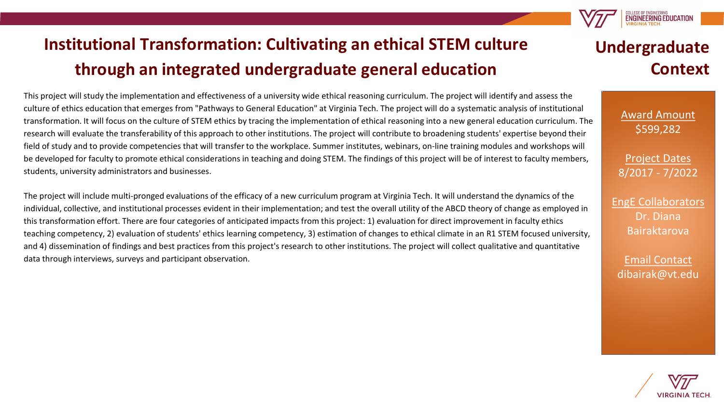# **Institutional Transformation: Cultivating an ethical STEM culture through an integrated undergraduate general education**

This project will study the implementation and effectiveness of a university wide ethical reasoning curriculum. The project will identify and assess the culture of ethics education that emerges from "Pathways to General Education" at Virginia Tech. The project will do a systematic analysis of institutional transformation. It will focus on the culture of STEM ethics by tracing the implementation of ethical reasoning into a new general education curriculum. The research will evaluate the transferability of this approach to other institutions. The project will contribute to broadening students' expertise beyond their field of study and to provide competencies that will transfer to the workplace. Summer institutes, webinars, on-line training modules and workshops will be developed for faculty to promote ethical considerations in teaching and doing STEM. The findings of this project will be of interest to faculty members, students, university administrators and businesses.

The project will include multi-pronged evaluations of the efficacy of a new curriculum program at Virginia Tech. It will understand the dynamics of the individual, collective, and institutional processes evident in their implementation; and test the overall utility of the ABCD theory of change as employed in this transformation effort. There are four categories of anticipated impacts from this project: 1) evaluation for direct improvement in faculty ethics teaching competency, 2) evaluation of students' ethics learning competency, 3) estimation of changes to ethical climate in an R1 STEM focused university, and 4) dissemination of findings and best practices from this project's research to other institutions. The project will collect qualitative and quantitative data through interviews, surveys and participant observation.

## **Undergraduate Context**

**ENGINEERING EDUCATIO** 

Award Amount \$599,282

Project Dates 8/2017 - 7/2022

EngE Collaborators Dr. Diana Bairaktarova

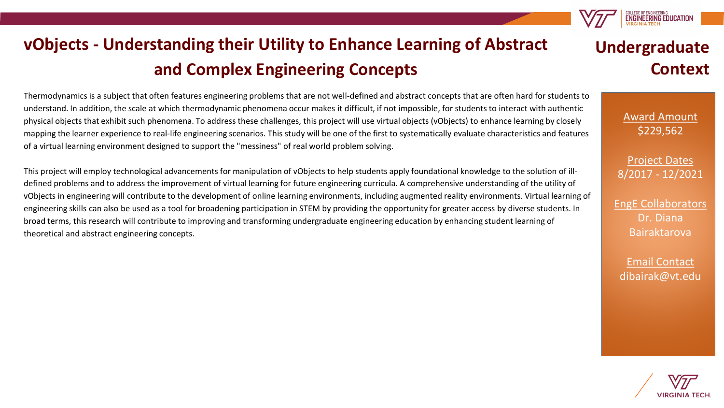

Thermodynamics is a subject that often features engineering problems that are not well-defined and abstract concepts that are often hard for students to understand. In addition, the scale at which thermodynamic phenomena occur makes it difficult, if not impossible, for students to interact with authentic physical objects that exhibit such phenomena. To address these challenges, this project will use virtual objects (vObjects) to enhance learning by closely mapping the learner experience to real-life engineering scenarios. This study will be one of the first to systematically evaluate characteristics and features of a virtual learning environment designed to support the "messiness" of real world problem solving.

This project will employ technological advancements for manipulation of vObjects to help students apply foundational knowledge to the solution of illdefined problems and to address the improvement of virtual learning for future engineering curricula. A comprehensive understanding of the utility of vObjects in engineering will contribute to the development of online learning environments, including augmented reality environments. Virtual learning of engineering skills can also be used as a tool for broadening participation in STEM by providing the opportunity for greater access by diverse students. In broad terms, this research will contribute to improving and transforming undergraduate engineering education by enhancing student learning of theoretical and abstract engineering concepts.

## **Undergraduate Context**

ENGINEERING EDUCATIO

Award Amount \$229,562

Project Dates 8/2017 - 12/2021

EngE Collaborators Dr. Diana Bairaktarova

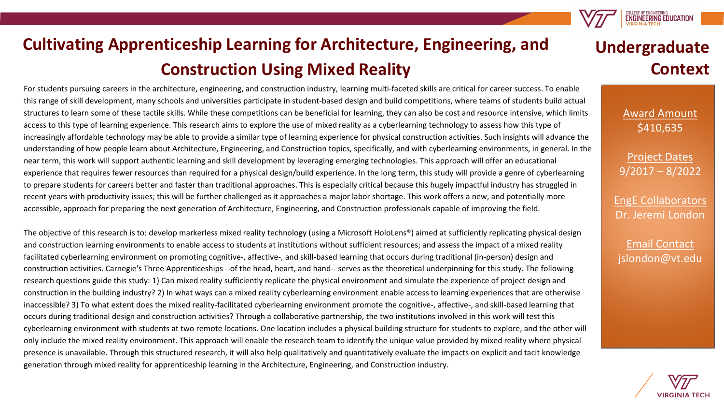

For students pursuing careers in the architecture, engineering, and construction industry, learning multi-faceted skills are critical for career success. To enable this range of skill development, many schools and universities participate in student-based design and build competitions, where teams of students build actual structures to learn some of these tactile skills. While these competitions can be beneficial for learning, they can also be cost and resource intensive, which limits access to this type of learning experience. This research aims to explore the use of mixed reality as a cyberlearning technology to assess how this type of increasingly affordable technology may be able to provide a similar type of learning experience for physical construction activities. Such insights will advance the understanding of how people learn about Architecture, Engineering, and Construction topics, specifically, and with cyberlearning environments, in general. In the near term, this work will support authentic learning and skill development by leveraging emerging technologies. This approach will offer an educational experience that requires fewer resources than required for a physical design/build experience. In the long term, this study will provide a genre of cyberlearning to prepare students for careers better and faster than traditional approaches. This is especially critical because this hugely impactful industry has struggled in recent years with productivity issues; this will be further challenged as it approaches a major labor shortage. This work offers a new, and potentially more accessible, approach for preparing the next generation of Architecture, Engineering, and Construction professionals capable of improving the field.

The objective of this research is to: develop markerless mixed reality technology (using a Microsoft HoloLens®) aimed at sufficiently replicating physical design and construction learning environments to enable access to students at institutions without sufficient resources; and assess the impact of a mixed reality facilitated cyberlearning environment on promoting cognitive-, affective-, and skill-based learning that occurs during traditional (in-person) design and construction activities. Carnegie's Three Apprenticeships --of the head, heart, and hand-- serves as the theoretical underpinning for this study. The following research questions guide this study: 1) Can mixed reality sufficiently replicate the physical environment and simulate the experience of project design and construction in the building industry? 2) In what ways can a mixed reality cyberlearning environment enable access to learning experiences that are otherwise inaccessible? 3) To what extent does the mixed reality-facilitated cyberlearning environment promote the cognitive-, affective-, and skill-based learning that occurs during traditional design and construction activities? Through a collaborative partnership, the two institutions involved in this work will test this cyberlearning environment with students at two remote locations. One location includes a physical building structure for students to explore, and the other will only include the mixed reality environment. This approach will enable the research team to identify the unique value provided by mixed reality where physical presence is unavailable. Through this structured research, it will also help qualitatively and quantitatively evaluate the impacts on explicit and tacit knowledge generation through mixed reality for apprenticeship learning in the Architecture, Engineering, and Construction industry.

## **Undergraduate Context**

COLLEGE OF ENGINEERING<br>**ENGINEERING EDUCATION** 

Award Amount \$410,635

Project Dates 9/2017 – 8/2022

EngE Collaborators Dr. Jeremi London

Email Contact islondon@vt.edu

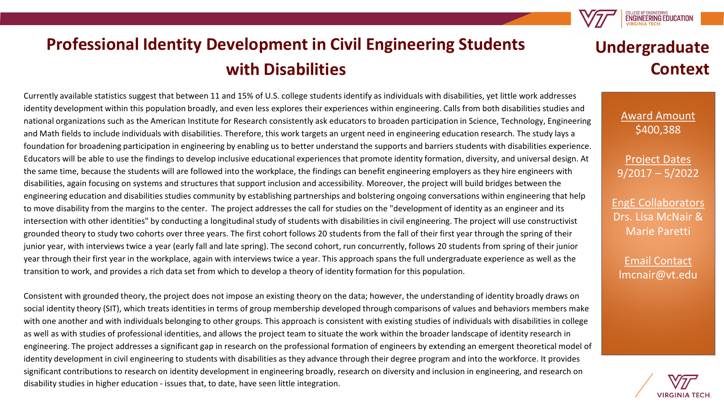**Professional Identity Development in Civil Engineering Students with Disabilities**

Currently available statistics suggest that between 11 and 15% of U.S. college students identify as individuals with disabilities, yet little work addresses identity development within this population broadly, and even less explores their experiences within engineering. Calls from both disabilities studies and national organizations such as the American Institute for Research consistently ask educators to broaden participation in Science, Technology, Engineering and Math fields to include individuals with disabilities. Therefore, this work targets an urgent need in engineering education research. The study lays a foundation for broadening participation in engineering by enabling us to better understand the supports and barriers students with disabilities experience. Educators will be able to use the findings to develop inclusive educational experiences that promote identity formation, diversity, and universal design. At the same time, because the students will are followed into the workplace, the findings can benefit engineering employers as they hire engineers with disabilities, again focusing on systems and structures that support inclusion and accessibility. Moreover, the project will build bridges between the engineering education and disabilities studies community by establishing partnerships and bolstering ongoing conversations within engineering that help to move disability from the margins to the center. The project addresses the call for studies on the "development of identity as an engineer and its intersection with other identities" by conducting a longitudinal study of students with disabilities in civil engineering. The project will use constructivist grounded theory to study two cohorts over three years. The first cohort follows 20 students from the fall of their first year through the spring of their junior year, with interviews twice a year (early fall and late spring). The second cohort, run concurrently, follows 20 students from spring of their junior year through their first year in the workplace, again with interviews twice a year. This approach spans the full undergraduate experience as well as the transition to work, and provides a rich data set from which to develop a theory of identity formation for this population.

Consistent with grounded theory, the project does not impose an existing theory on the data; however, the understanding of identity broadly draws on social identity theory (SIT), which treats identities in terms of group membership developed through comparisons of values and behaviors members make with one another and with individuals belonging to other groups. This approach is consistent with existing studies of individuals with disabilities in college as well as with studies of professional identities, and allows the project team to situate the work within the broader landscape of identity research in engineering. The project addresses a significant gap in research on the professional formation of engineers by extending an emergent theoretical model of identity development in civil engineering to students with disabilities as they advance through their degree program and into the workforce. It provides significant contributions to research on identity development in engineering broadly, research on diversity and inclusion in engineering, and research on disability studies in higher education - issues that, to date, have seen little integration.

## **Undergraduate Context**

**ENGINEERING EDUCATION** 

Award Amount \$400,388

Project Dates 9/2017 – 5/2022

EngE Collaborators Drs. Lisa McNair & Marie Paretti

Email Contact lmcnair@vt.edu

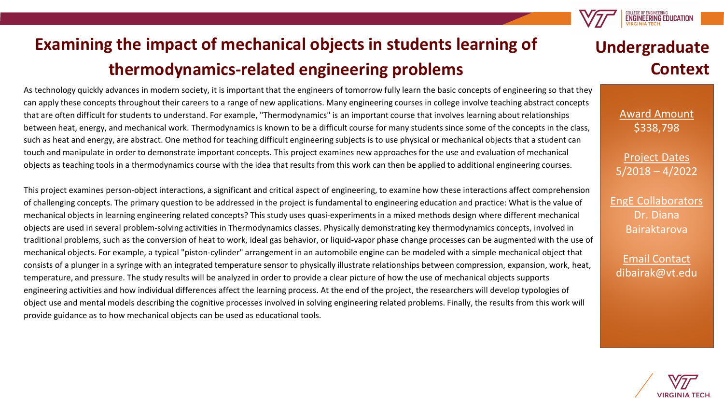

As technology quickly advances in modern society, it is important that the engineers of tomorrow fully learn the basic concepts of engineering so that they can apply these concepts throughout their careers to a range of new applications. Many engineering courses in college involve teaching abstract concepts that are often difficult for students to understand. For example, "Thermodynamics" is an important course that involves learning about relationships between heat, energy, and mechanical work. Thermodynamics is known to be a difficult course for many students since some of the concepts in the class, such as heat and energy, are abstract. One method for teaching difficult engineering subjects is to use physical or mechanical objects that a student can touch and manipulate in order to demonstrate important concepts. This project examines new approaches for the use and evaluation of mechanical objects as teaching tools in a thermodynamics course with the idea that results from this work can then be applied to additional engineering courses.

This project examines person-object interactions, a significant and critical aspect of engineering, to examine how these interactions affect comprehension of challenging concepts. The primary question to be addressed in the project is fundamental to engineering education and practice: What is the value of mechanical objects in learning engineering related concepts? This study uses quasi-experiments in a mixed methods design where different mechanical objects are used in several problem-solving activities in Thermodynamics classes. Physically demonstrating key thermodynamics concepts, involved in traditional problems, such as the conversion of heat to work, ideal gas behavior, or liquid-vapor phase change processes can be augmented with the use of mechanical objects. For example, a typical "piston-cylinder" arrangement in an automobile engine can be modeled with a simple mechanical object that consists of a plunger in a syringe with an integrated temperature sensor to physically illustrate relationships between compression, expansion, work, heat, temperature, and pressure. The study results will be analyzed in order to provide a clear picture of how the use of mechanical objects supports engineering activities and how individual differences affect the learning process. At the end of the project, the researchers will develop typologies of object use and mental models describing the cognitive processes involved in solving engineering related problems. Finally, the results from this work will provide guidance as to how mechanical objects can be used as educational tools.

# **Undergraduate Context**

**ENGINEERING EDUCATION** 

Award Amount \$338,798

Project Dates 5/2018 – 4/2022

EngE Collaborators Dr. Diana Bairaktarova

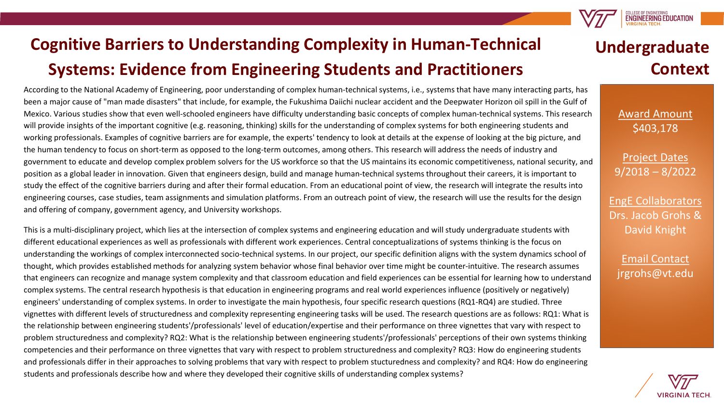

According to the National Academy of Engineering, poor understanding of complex human-technical systems, i.e., systems that have many interacting parts, has been a major cause of "man made disasters" that include, for example, the Fukushima Daiichi nuclear accident and the Deepwater Horizon oil spill in the Gulf of Mexico. Various studies show that even well-schooled engineers have difficulty understanding basic concepts of complex human-technical systems. This research will provide insights of the important cognitive (e.g. reasoning, thinking) skills for the understanding of complex systems for both engineering students and working professionals. Examples of cognitive barriers are for example, the experts' tendency to look at details at the expense of looking at the big picture, and the human tendency to focus on short-term as opposed to the long-term outcomes, among others. This research will address the needs of industry and government to educate and develop complex problem solvers for the US workforce so that the US maintains its economic competitiveness, national security, and position as a global leader in innovation. Given that engineers design, build and manage human-technical systems throughout their careers, it is important to study the effect of the cognitive barriers during and after their formal education. From an educational point of view, the research will integrate the results into engineering courses, case studies, team assignments and simulation platforms. From an outreach point of view, the research will use the results for the design and offering of company, government agency, and University workshops.

This is a multi-disciplinary project, which lies at the intersection of complex systems and engineering education and will study undergraduate students with different educational experiences as well as professionals with different work experiences. Central conceptualizations of systems thinking is the focus on understanding the workings of complex interconnected socio-technical systems. In our project, our specific definition aligns with the system dynamics school of thought, which provides established methods for analyzing system behavior whose final behavior over time might be counter-intuitive. The research assumes that engineers can recognize and manage system complexity and that classroom education and field experiences can be essential for learning how to understand complex systems. The central research hypothesis is that education in engineering programs and real world experiences influence (positively or negatively) engineers' understanding of complex systems. In order to investigate the main hypothesis, four specific research questions (RQ1-RQ4) are studied. Three vignettes with different levels of structuredness and complexity representing engineering tasks will be used. The research questions are as follows: RQ1: What is the relationship between engineering students'/professionals' level of education/expertise and their performance on three vignettes that vary with respect to problem structuredness and complexity? RQ2: What is the relationship between engineering students'/professionals' perceptions of their own systems thinking competencies and their performance on three vignettes that vary with respect to problem structuredness and complexity? RQ3: How do engineering students and professionals differ in their approaches to solving problems that vary with respect to problem stucturedness and complexity? and RQ4: How do engineering students and professionals describe how and where they developed their cognitive skills of understanding complex systems?

## **Undergraduate Context**

COLLEGE OF ENGINEERING<br>ENGINEERING EDUCATION

Award Amount \$403,178

Project Dates 9/2018 – 8/2022

EngE Collaborators Drs. Jacob Grohs & David Knight

Email Contact jrgrohs@vt.edu

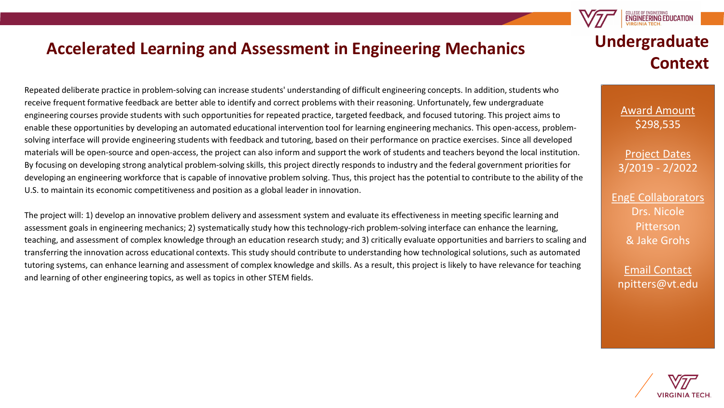#### **Accelerated Learning and Assessment in Engineering Mechanics**

Repeated deliberate practice in problem-solving can increase students' understanding of difficult engineering concepts. In addition, students who receive frequent formative feedback are better able to identify and correct problems with their reasoning. Unfortunately, few undergraduate engineering courses provide students with such opportunities for repeated practice, targeted feedback, and focused tutoring. This project aims to enable these opportunities by developing an automated educational intervention tool for learning engineering mechanics. This open-access, problemsolving interface will provide engineering students with feedback and tutoring, based on their performance on practice exercises. Since all developed materials will be open-source and open-access, the project can also inform and support the work of students and teachers beyond the local institution. By focusing on developing strong analytical problem-solving skills, this project directly responds to industry and the federal government priorities for developing an engineering workforce that is capable of innovative problem solving. Thus, this project has the potential to contribute to the ability of the U.S. to maintain its economic competitiveness and position as a global leader in innovation.

The project will: 1) develop an innovative problem delivery and assessment system and evaluate its effectiveness in meeting specific learning and assessment goals in engineering mechanics; 2) systematically study how this technology-rich problem-solving interface can enhance the learning, teaching, and assessment of complex knowledge through an education research study; and 3) critically evaluate opportunities and barriers to scaling and transferring the innovation across educational contexts. This study should contribute to understanding how technological solutions, such as automated tutoring systems, can enhance learning and assessment of complex knowledge and skills. As a result, this project is likely to have relevance for teaching and learning of other engineering topics, as well as topics in other STEM fields.

# **Undergraduate Context**

**ENGINEERING EDUCATIO** 

Award Amount \$298,535

Project Dates 3/2019 - 2/2022

EngE Collaborators Drs. Nicole Pitterson & Jake Grohs

Email Contact npitters@vt.edu

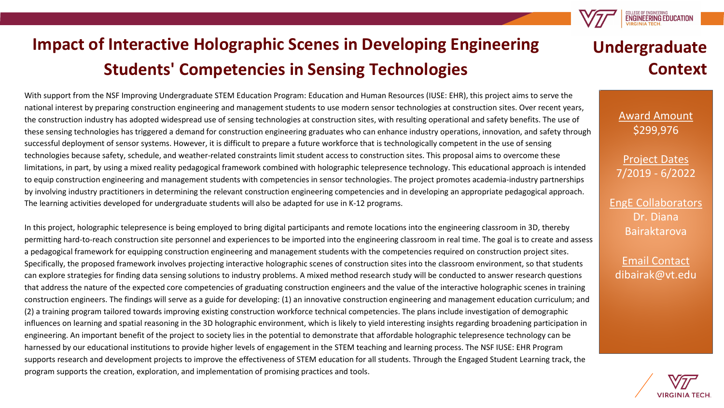# **Impact of Interactive Holographic Scenes in Developing Engineering Students' Competencies in Sensing Technologies**

With support from the NSF Improving Undergraduate STEM Education Program: Education and Human Resources (IUSE: EHR), this project aims to serve the national interest by preparing construction engineering and management students to use modern sensor technologies at construction sites. Over recent years, the construction industry has adopted widespread use of sensing technologies at construction sites, with resulting operational and safety benefits. The use of these sensing technologies has triggered a demand for construction engineering graduates who can enhance industry operations, innovation, and safety through successful deployment of sensor systems. However, it is difficult to prepare a future workforce that is technologically competent in the use of sensing technologies because safety, schedule, and weather-related constraints limit student access to construction sites. This proposal aims to overcome these limitations, in part, by using a mixed reality pedagogical framework combined with holographic telepresence technology. This educational approach is intended to equip construction engineering and management students with competencies in sensor technologies. The project promotes academia-industry partnerships by involving industry practitioners in determining the relevant construction engineering competencies and in developing an appropriate pedagogical approach. The learning activities developed for undergraduate students will also be adapted for use in K-12 programs.

In this project, holographic telepresence is being employed to bring digital participants and remote locations into the engineering classroom in 3D, thereby permitting hard-to-reach construction site personnel and experiences to be imported into the engineering classroom in real time. The goal is to create and assess a pedagogical framework for equipping construction engineering and management students with the competencies required on construction project sites. Specifically, the proposed framework involves projecting interactive holographic scenes of construction sites into the classroom environment, so that students can explore strategies for finding data sensing solutions to industry problems. A mixed method research study will be conducted to answer research questions that address the nature of the expected core competencies of graduating construction engineers and the value of the interactive holographic scenes in training construction engineers. The findings will serve as a guide for developing: (1) an innovative construction engineering and management education curriculum; and (2) a training program tailored towards improving existing construction workforce technical competencies. The plans include investigation of demographic influences on learning and spatial reasoning in the 3D holographic environment, which is likely to yield interesting insights regarding broadening participation in engineering. An important benefit of the project to society lies in the potential to demonstrate that affordable holographic telepresence technology can be harnessed by our educational institutions to provide higher levels of engagement in the STEM teaching and learning process. The NSF IUSE: EHR Program supports research and development projects to improve the effectiveness of STEM education for all students. Through the Engaged Student Learning track, the program supports the creation, exploration, and implementation of promising practices and tools.

## **Undergraduate Context**

**ENGINEERING EDUCATION** 

Award Amount \$299,976

Project Dates 7/2019 - 6/2022

EngE Collaborators Dr. Diana Bairaktarova

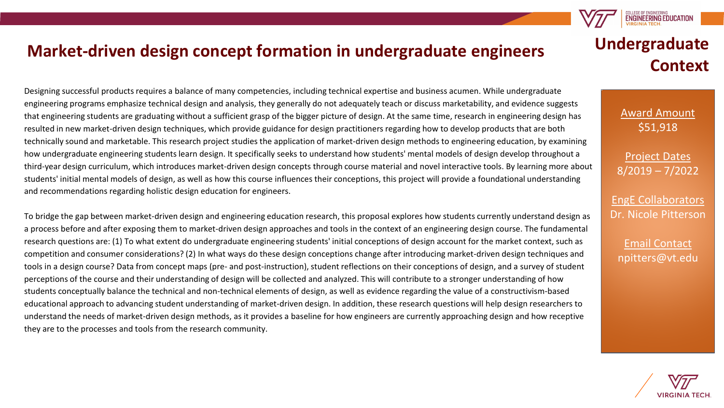#### **Market-driven design concept formation in undergraduate engineers**

Designing successful products requires a balance of many competencies, including technical expertise and business acumen. While undergraduate engineering programs emphasize technical design and analysis, they generally do not adequately teach or discuss marketability, and evidence suggests that engineering students are graduating without a sufficient grasp of the bigger picture of design. At the same time, research in engineering design has resulted in new market-driven design techniques, which provide guidance for design practitioners regarding how to develop products that are both technically sound and marketable. This research project studies the application of market-driven design methods to engineering education, by examining how undergraduate engineering students learn design. It specifically seeks to understand how students' mental models of design develop throughout a third-year design curriculum, which introduces market-driven design concepts through course material and novel interactive tools. By learning more about students' initial mental models of design, as well as how this course influences their conceptions, this project will provide a foundational understanding and recommendations regarding holistic design education for engineers.

To bridge the gap between market-driven design and engineering education research, this proposal explores how students currently understand design as a process before and after exposing them to market-driven design approaches and tools in the context of an engineering design course. The fundamental research questions are: (1) To what extent do undergraduate engineering students' initial conceptions of design account for the market context, such as competition and consumer considerations? (2) In what ways do these design conceptions change after introducing market-driven design techniques and tools in a design course? Data from concept maps (pre- and post-instruction), student reflections on their conceptions of design, and a survey of student perceptions of the course and their understanding of design will be collected and analyzed. This will contribute to a stronger understanding of how students conceptually balance the technical and non-technical elements of design, as well as evidence regarding the value of a constructivism-based educational approach to advancing student understanding of market-driven design. In addition, these research questions will help design researchers to understand the needs of market-driven design methods, as it provides a baseline for how engineers are currently approaching design and how receptive they are to the processes and tools from the research community.

# **Undergraduate Context**

**ENGINEERING EDUCATION** 

Award Amount \$51,918

Project Dates 8/2019 – 7/2022

EngE Collaborators Dr. Nicole Pitterson

Email Contact npitters@vt.edu

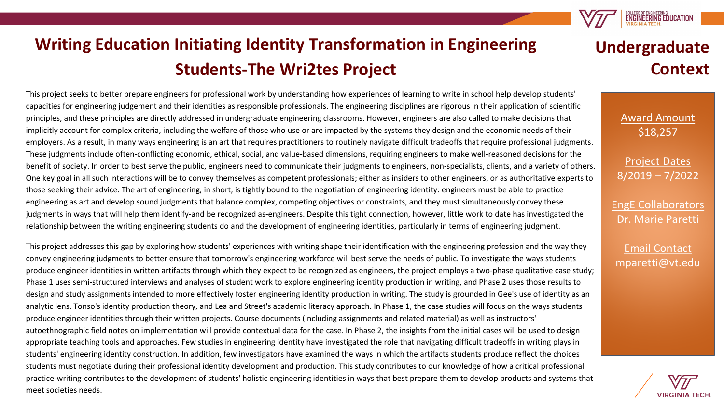# **Writing Education Initiating Identity Transformation in Engineering Students-The Wri2tes Project**

This project seeks to better prepare engineers for professional work by understanding how experiences of learning to write in school help develop students' capacities for engineering judgement and their identities as responsible professionals. The engineering disciplines are rigorous in their application of scientific principles, and these principles are directly addressed in undergraduate engineering classrooms. However, engineers are also called to make decisions that implicitly account for complex criteria, including the welfare of those who use or are impacted by the systems they design and the economic needs of their employers. As a result, in many ways engineering is an art that requires practitioners to routinely navigate difficult tradeoffs that require professional judgments. These judgments include often-conflicting economic, ethical, social, and value-based dimensions, requiring engineers to make well-reasoned decisions for the benefit of society. In order to best serve the public, engineers need to communicate their judgments to engineers, non-specialists, clients, and a variety of others. One key goal in all such interactions will be to convey themselves as competent professionals; either as insiders to other engineers, or as authoritative experts to those seeking their advice. The art of engineering, in short, is tightly bound to the negotiation of engineering identity: engineers must be able to practice engineering as art and develop sound judgments that balance complex, competing objectives or constraints, and they must simultaneously convey these judgments in ways that will help them identify-and be recognized as-engineers. Despite this tight connection, however, little work to date has investigated the relationship between the writing engineering students do and the development of engineering identities, particularly in terms of engineering judgment.

This project addresses this gap by exploring how students' experiences with writing shape their identification with the engineering profession and the way they convey engineering judgments to better ensure that tomorrow's engineering workforce will best serve the needs of public. To investigate the ways students produce engineer identities in written artifacts through which they expect to be recognized as engineers, the project employs a two-phase qualitative case study; Phase 1 uses semi-structured interviews and analyses of student work to explore engineering identity production in writing, and Phase 2 uses those results to design and study assignments intended to more effectively foster engineering identity production in writing. The study is grounded in Gee's use of identity as an analytic lens, Tonso's identity production theory, and Lea and Street's academic literacy approach. In Phase 1, the case studies will focus on the ways students produce engineer identities through their written projects. Course documents (including assignments and related material) as well as instructors' autoethnographic field notes on implementation will provide contextual data for the case. In Phase 2, the insights from the initial cases will be used to design appropriate teaching tools and approaches. Few studies in engineering identity have investigated the role that navigating difficult tradeoffs in writing plays in students' engineering identity construction. In addition, few investigators have examined the ways in which the artifacts students produce reflect the choices students must negotiate during their professional identity development and production. This study contributes to our knowledge of how a critical professional practice-writing-contributes to the development of students' holistic engineering identities in ways that best prepare them to develop products and systems that meet societies needs.

# **Undergraduate Context**

**ENGINEERING EDUCATION** 

Award Amount \$18,257

Project Dates 8/2019 – 7/2022

EngE Collaborators Dr. Marie Paretti

Email Contact mparetti@vt.edu

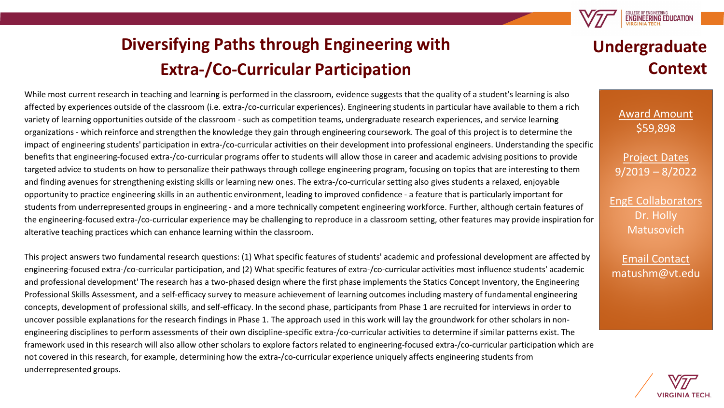

# **Diversifying Paths through Engineering with Extra-/Co-Curricular Participation**

While most current research in teaching and learning is performed in the classroom, evidence suggests that the quality of a student's learning is also affected by experiences outside of the classroom (i.e. extra-/co-curricular experiences). Engineering students in particular have available to them a rich variety of learning opportunities outside of the classroom - such as competition teams, undergraduate research experiences, and service learning organizations - which reinforce and strengthen the knowledge they gain through engineering coursework. The goal of this project is to determine the impact of engineering students' participation in extra-/co-curricular activities on their development into professional engineers. Understanding the specific benefits that engineering-focused extra-/co-curricular programs offer to students will allow those in career and academic advising positions to provide targeted advice to students on how to personalize their pathways through college engineering program, focusing on topics that are interesting to them and finding avenues for strengthening existing skills or learning new ones. The extra-/co-curricular setting also gives students a relaxed, enjoyable opportunity to practice engineering skills in an authentic environment, leading to improved confidence - a feature that is particularly important for students from underrepresented groups in engineering - and a more technically competent engineering workforce. Further, although certain features of the engineering-focused extra-/co-curricular experience may be challenging to reproduce in a classroom setting, other features may provide inspiration for alterative teaching practices which can enhance learning within the classroom.

This project answers two fundamental research questions: (1) What specific features of students' academic and professional development are affected by engineering-focused extra-/co-curricular participation, and (2) What specific features of extra-/co-curricular activities most influence students' academic and professional development' The research has a two-phased design where the first phase implements the Statics Concept Inventory, the Engineering Professional Skills Assessment, and a self-efficacy survey to measure achievement of learning outcomes including mastery of fundamental engineering concepts, development of professional skills, and self-efficacy. In the second phase, participants from Phase 1 are recruited for interviews in order to uncover possible explanations for the research findings in Phase 1. The approach used in this work will lay the groundwork for other scholars in nonengineering disciplines to perform assessments of their own discipline-specific extra-/co-curricular activities to determine if similar patterns exist. The framework used in this research will also allow other scholars to explore factors related to engineering-focused extra-/co-curricular participation which are not covered in this research, for example, determining how the extra-/co-curricular experience uniquely affects engineering students from underrepresented groups.

### **Undergraduate Context**

Award Amount \$59,898

Project Dates 9/2019 – 8/2022

EngE Collaborators Dr. Holly Matusovich

Email Contact matushm@vt.edu

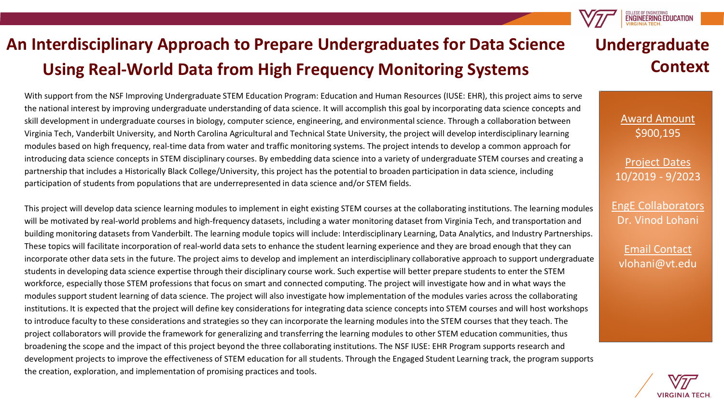# **An Interdisciplinary Approach to Prepare Undergraduates for Data Science Using Real-World Data from High Frequency Monitoring Systems**

With support from the NSF Improving Undergraduate STEM Education Program: Education and Human Resources (IUSE: EHR), this project aims to serve the national interest by improving undergraduate understanding of data science. It will accomplish this goal by incorporating data science concepts and skill development in undergraduate courses in biology, computer science, engineering, and environmental science. Through a collaboration between Virginia Tech, Vanderbilt University, and North Carolina Agricultural and Technical State University, the project will develop interdisciplinary learning modules based on high frequency, real-time data from water and traffic monitoring systems. The project intends to develop a common approach for introducing data science concepts in STEM disciplinary courses. By embedding data science into a variety of undergraduate STEM courses and creating a partnership that includes a Historically Black College/University, this project has the potential to broaden participation in data science, including participation of students from populations that are underrepresented in data science and/or STEM fields.

This project will develop data science learning modules to implement in eight existing STEM courses at the collaborating institutions. The learning modules will be motivated by real-world problems and high-frequency datasets, including a water monitoring dataset from Virginia Tech, and transportation and building monitoring datasets from Vanderbilt. The learning module topics will include: Interdisciplinary Learning, Data Analytics, and Industry Partnerships. These topics will facilitate incorporation of real-world data sets to enhance the student learning experience and they are broad enough that they can incorporate other data sets in the future. The project aims to develop and implement an interdisciplinary collaborative approach to support undergraduate students in developing data science expertise through their disciplinary course work. Such expertise will better prepare students to enter the STEM workforce, especially those STEM professions that focus on smart and connected computing. The project will investigate how and in what ways the modules support student learning of data science. The project will also investigate how implementation of the modules varies across the collaborating institutions. It is expected that the project will define key considerations for integrating data science concepts into STEM courses and will host workshops to introduce faculty to these considerations and strategies so they can incorporate the learning modules into the STEM courses that they teach. The project collaborators will provide the framework for generalizing and transferring the learning modules to other STEM education communities, thus broadening the scope and the impact of this project beyond the three collaborating institutions. The NSF IUSE: EHR Program supports research and development projects to improve the effectiveness of STEM education for all students. Through the Engaged Student Learning track, the program supports the creation, exploration, and implementation of promising practices and tools.



**ENGINEERING EDUCATION** 

Award Amount \$900,195

Project Dates 10/2019 - 9/2023

EngE Collaborators Dr. Vinod Lohani

Email Contact vlohani@vt.edu

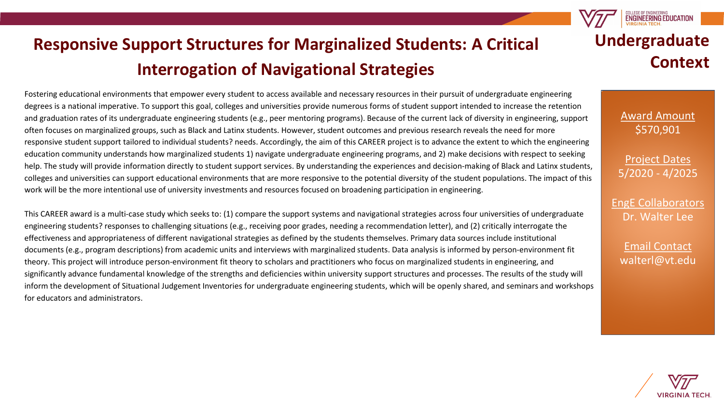# **Responsive Support Structures for Marginalized Students: A Critical Interrogation of Navigational Strategies**

Fostering educational environments that empower every student to access available and necessary resources in their pursuit of undergraduate engineering degrees is a national imperative. To support this goal, colleges and universities provide numerous forms of student support intended to increase the retention and graduation rates of its undergraduate engineering students (e.g., peer mentoring programs). Because of the current lack of diversity in engineering, support often focuses on marginalized groups, such as Black and Latinx students. However, student outcomes and previous research reveals the need for more responsive student support tailored to individual students? needs. Accordingly, the aim of this CAREER project is to advance the extent to which the engineering education community understands how marginalized students 1) navigate undergraduate engineering programs, and 2) make decisions with respect to seeking help. The study will provide information directly to student support services. By understanding the experiences and decision-making of Black and Latinx students, colleges and universities can support educational environments that are more responsive to the potential diversity of the student populations. The impact of this work will be the more intentional use of university investments and resources focused on broadening participation in engineering.

This CAREER award is a multi-case study which seeks to: (1) compare the support systems and navigational strategies across four universities of undergraduate engineering students? responses to challenging situations (e.g., receiving poor grades, needing a recommendation letter), and (2) critically interrogate the effectiveness and appropriateness of different navigational strategies as defined by the students themselves. Primary data sources include institutional documents (e.g., program descriptions) from academic units and interviews with marginalized students. Data analysis is informed by person-environment fit theory. This project will introduce person-environment fit theory to scholars and practitioners who focus on marginalized students in engineering, and significantly advance fundamental knowledge of the strengths and deficiencies within university support structures and processes. The results of the study will inform the development of Situational Judgement Inventories for undergraduate engineering students, which will be openly shared, and seminars and workshops for educators and administrators.

# **Undergraduate Context**

**ENGINEERING EDUCATIO** 

Award Amount \$570,901

Project Dates 5/2020 - 4/2025

EngE Collaborators Dr. Walter Lee

Email Contact walterl@vt.edu

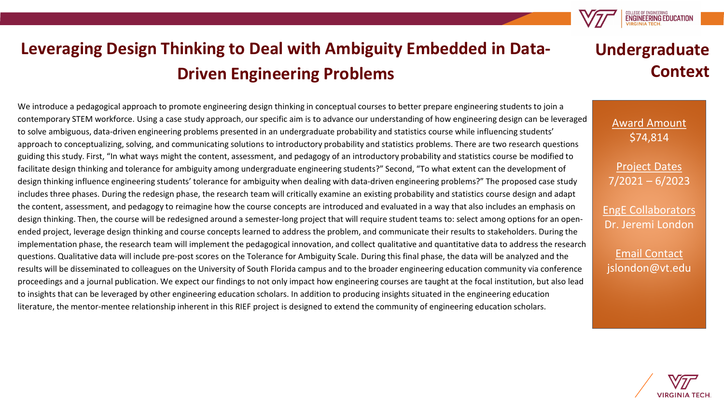

# **Leveraging Design Thinking to Deal with Ambiguity Embedded in Data-Driven Engineering Problems**

We introduce a pedagogical approach to promote engineering design thinking in conceptual courses to better prepare engineering students to join a contemporary STEM workforce. Using a case study approach, our specific aim is to advance our understanding of how engineering design can be leveraged to solve ambiguous, data-driven engineering problems presented in an undergraduate probability and statistics course while influencing students' approach to conceptualizing, solving, and communicating solutions to introductory probability and statistics problems. There are two research questions guiding this study. First, "In what ways might the content, assessment, and pedagogy of an introductory probability and statistics course be modified to facilitate design thinking and tolerance for ambiguity among undergraduate engineering students?" Second, "To what extent can the development of design thinking influence engineering students' tolerance for ambiguity when dealing with data-driven engineering problems?" The proposed case study includes three phases. During the redesign phase, the research team will critically examine an existing probability and statistics course design and adapt the content, assessment, and pedagogy to reimagine how the course concepts are introduced and evaluated in a way that also includes an emphasis on design thinking. Then, the course will be redesigned around a semester-long project that will require student teams to: select among options for an openended project, leverage design thinking and course concepts learned to address the problem, and communicate their results to stakeholders. During the implementation phase, the research team will implement the pedagogical innovation, and collect qualitative and quantitative data to address the research questions. Qualitative data will include pre-post scores on the Tolerance for Ambiguity Scale. During this final phase, the data will be analyzed and the results will be disseminated to colleagues on the University of South Florida campus and to the broader engineering education community via conference proceedings and a journal publication. We expect our findings to not only impact how engineering courses are taught at the focal institution, but also lead to insights that can be leveraged by other engineering education scholars. In addition to producing insights situated in the engineering education literature, the mentor-mentee relationship inherent in this RIEF project is designed to extend the community of engineering education scholars.

### **Undergraduate Context**

Award Amount \$74,814

Project Dates 7/2021 – 6/2023

EngE Collaborators Dr. Jeremi London

Email Contact jslondon@vt.edu

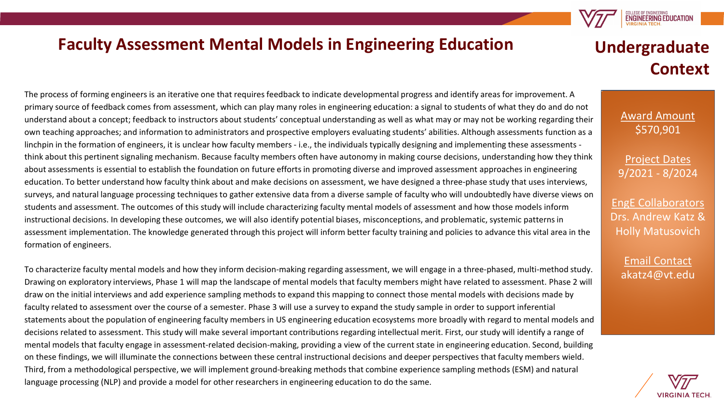#### **Faculty Assessment Mental Models in Engineering Education**

The process of forming engineers is an iterative one that requires feedback to indicate developmental progress and identify areas for improvement. A primary source of feedback comes from assessment, which can play many roles in engineering education: a signal to students of what they do and do not understand about a concept; feedback to instructors about students' conceptual understanding as well as what may or may not be working regarding their own teaching approaches; and information to administrators and prospective employers evaluating students' abilities. Although assessments function as a linchpin in the formation of engineers, it is unclear how faculty members - i.e., the individuals typically designing and implementing these assessments think about this pertinent signaling mechanism. Because faculty members often have autonomy in making course decisions, understanding how they think about assessments is essential to establish the foundation on future efforts in promoting diverse and improved assessment approaches in engineering education. To better understand how faculty think about and make decisions on assessment, we have designed a three-phase study that uses interviews, surveys, and natural language processing techniques to gather extensive data from a diverse sample of faculty who will undoubtedly have diverse views on students and assessment. The outcomes of this study will include characterizing faculty mental models of assessment and how those models inform instructional decisions. In developing these outcomes, we will also identify potential biases, misconceptions, and problematic, systemic patterns in assessment implementation. The knowledge generated through this project will inform better faculty training and policies to advance this vital area in the formation of engineers.

To characterize faculty mental models and how they inform decision-making regarding assessment, we will engage in a three-phased, multi-method study. Drawing on exploratory interviews, Phase 1 will map the landscape of mental models that faculty members might have related to assessment. Phase 2 will draw on the initial interviews and add experience sampling methods to expand this mapping to connect those mental models with decisions made by faculty related to assessment over the course of a semester. Phase 3 will use a survey to expand the study sample in order to support inferential statements about the population of engineering faculty members in US engineering education ecosystems more broadly with regard to mental models and decisions related to assessment. This study will make several important contributions regarding intellectual merit. First, our study will identify a range of mental models that faculty engage in assessment-related decision-making, providing a view of the current state in engineering education. Second, building on these findings, we will illuminate the connections between these central instructional decisions and deeper perspectives that faculty members wield. Third, from a methodological perspective, we will implement ground-breaking methods that combine experience sampling methods (ESM) and natural language processing (NLP) and provide a model for other researchers in engineering education to do the same.

## **Undergraduate Context**

**ENGINEERING EDUCATION** 

Award Amount \$570,901

Project Dates 9/2021 - 8/2024

EngE Collaborators Drs. Andrew Katz & Holly Matusovich

> Email Contact akatz4@vt.edu

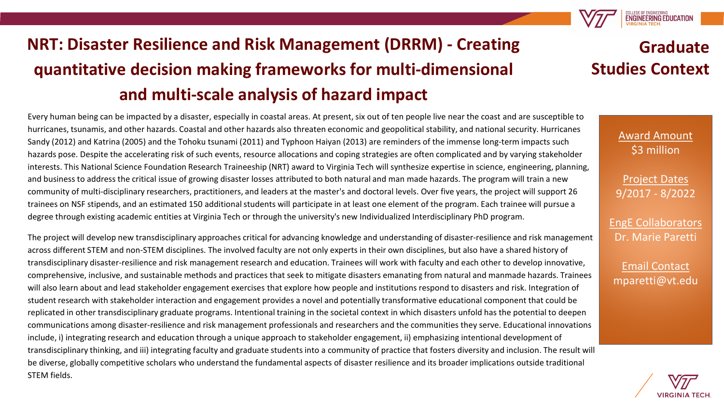# **NRT: Disaster Resilience and Risk Management (DRRM) - Creating quantitative decision making frameworks for multi-dimensional and multi-scale analysis of hazard impact**

Every human being can be impacted by a disaster, especially in coastal areas. At present, six out of ten people live near the coast and are susceptible to hurricanes, tsunamis, and other hazards. Coastal and other hazards also threaten economic and geopolitical stability, and national security. Hurricanes Sandy (2012) and Katrina (2005) and the Tohoku tsunami (2011) and Typhoon Haiyan (2013) are reminders of the immense long-term impacts such hazards pose. Despite the accelerating risk of such events, resource allocations and coping strategies are often complicated and by varying stakeholder interests. This National Science Foundation Research Traineeship (NRT) award to Virginia Tech will synthesize expertise in science, engineering, planning, and business to address the critical issue of growing disaster losses attributed to both natural and man made hazards. The program will train a new community of multi-disciplinary researchers, practitioners, and leaders at the master's and doctoral levels. Over five years, the project will support 26 trainees on NSF stipends, and an estimated 150 additional students will participate in at least one element of the program. Each trainee will pursue a degree through existing academic entities at Virginia Tech or through the university's new Individualized Interdisciplinary PhD program.

The project will develop new transdisciplinary approaches critical for advancing knowledge and understanding of disaster-resilience and risk management across different STEM and non-STEM disciplines. The involved faculty are not only experts in their own disciplines, but also have a shared history of transdisciplinary disaster-resilience and risk management research and education. Trainees will work with faculty and each other to develop innovative, comprehensive, inclusive, and sustainable methods and practices that seek to mitigate disasters emanating from natural and manmade hazards. Trainees will also learn about and lead stakeholder engagement exercises that explore how people and institutions respond to disasters and risk. Integration of student research with stakeholder interaction and engagement provides a novel and potentially transformative educational component that could be replicated in other transdisciplinary graduate programs. Intentional training in the societal context in which disasters unfold has the potential to deepen communications among disaster-resilience and risk management professionals and researchers and the communities they serve. Educational innovations include, i) integrating research and education through a unique approach to stakeholder engagement, ii) emphasizing intentional development of transdisciplinary thinking, and iii) integrating faculty and graduate students into a community of practice that fosters diversity and inclusion. The result will be diverse, globally competitive scholars who understand the fundamental aspects of disaster resilience and its broader implications outside traditional STEM fields.

### **Graduate Studies Context**

**ENGINEERING EDUCATION** 

Award Amount \$3 million

Project Dates 9/2017 - 8/2022

EngE Collaborators Dr. Marie Paretti

Email Contact mparetti@vt.edu

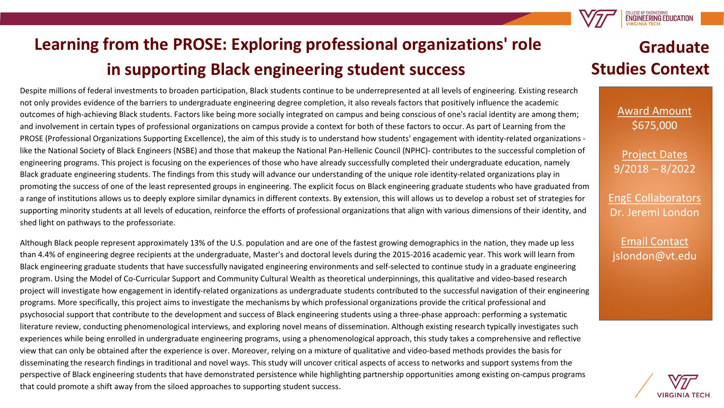

# **Learning from the PROSE: Exploring professional organizations' role in supporting Black engineering student success**

Despite millions of federal investments to broaden participation, Black students continue to be underrepresented at all levels of engineering. Existing research not only provides evidence of the barriers to undergraduate engineering degree completion, it also reveals factors that positively influence the academic outcomes of high-achieving Black students. Factors like being more socially integrated on campus and being conscious of one's racial identity are among them; and involvement in certain types of professional organizations on campus provide a context for both of these factors to occur. As part of Learning from the PROSE (Professional Organizations Supporting Excellence), the aim of this study is to understand how students' engagement with identity-related organizations like the National Society of Black Engineers (NSBE) and those that makeup the National Pan-Hellenic Council (NPHC)- contributes to the successful completion of engineering programs. This project is focusing on the experiences of those who have already successfully completed their undergraduate education, namely Black graduate engineering students. The findings from this study will advance our understanding of the unique role identity-related organizations play in promoting the success of one of the least represented groups in engineering. The explicit focus on Black engineering graduate students who have graduated from a range of institutions allows us to deeply explore similar dynamics in different contexts. By extension, this will allows us to develop a robust set of strategies for supporting minority students at all levels of education, reinforce the efforts of professional organizations that align with various dimensions of their identity, and shed light on pathways to the professoriate.

Although Black people represent approximately 13% of the U.S. population and are one of the fastest growing demographics in the nation, they made up less than 4.4% of engineering degree recipients at the undergraduate, Master's and doctoral levels during the 2015-2016 academic year. This work will learn from Black engineering graduate students that have successfully navigated engineering environments and self-selected to continue study in a graduate engineering program. Using the Model of Co-Curricular Support and Community Cultural Wealth as theoretical underpinnings, this qualitative and video-based research project will investigate how engagement in identify-related organizations as undergraduate students contributed to the successful navigation of their engineering programs. More specifically, this project aims to investigate the mechanisms by which professional organizations provide the critical professional and psychosocial support that contribute to the development and success of Black engineering students using a three-phase approach: performing a systematic literature review, conducting phenomenological interviews, and exploring novel means of dissemination. Although existing research typically investigates such experiences while being enrolled in undergraduate engineering programs, using a phenomenological approach, this study takes a comprehensive and reflective view that can only be obtained after the experience is over. Moreover, relying on a mixture of qualitative and video-based methods provides the basis for disseminating the research findings in traditional and novel ways. This study will uncover critical aspects of access to networks and support systems from the perspective of Black engineering students that have demonstrated persistence while highlighting partnership opportunities among existing on-campus programs that could promote a shift away from the siloed approaches to supporting student success.

### **Graduate Studies Context**

Award Amount \$675,000

Project Dates 9/2018 – 8/2022

EngE Collaborators Dr. Jeremi London

Email Contact jslondon@vt.edu

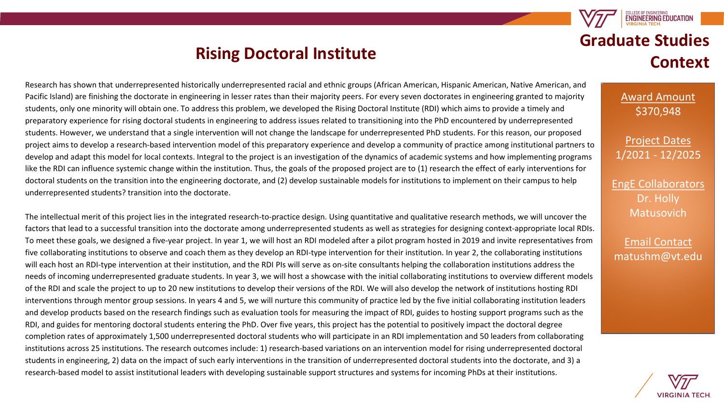#### **Rising Doctoral Institute**

Research has shown that underrepresented historically underrepresented racial and ethnic groups (African American, Hispanic American, Native American, and Pacific Island) are finishing the doctorate in engineering in lesser rates than their majority peers. For every seven doctorates in engineering granted to majority students, only one minority will obtain one. To address this problem, we developed the Rising Doctoral Institute (RDI) which aims to provide a timely and preparatory experience for rising doctoral students in engineering to address issues related to transitioning into the PhD encountered by underrepresented students. However, we understand that a single intervention will not change the landscape for underrepresented PhD students. For this reason, our proposed project aims to develop a research-based intervention model of this preparatory experience and develop a community of practice among institutional partners to develop and adapt this model for local contexts. Integral to the project is an investigation of the dynamics of academic systems and how implementing programs like the RDI can influence systemic change within the institution. Thus, the goals of the proposed project are to (1) research the effect of early interventions for doctoral students on the transition into the engineering doctorate, and (2) develop sustainable models for institutions to implement on their campus to help underrepresented students? transition into the doctorate.

The intellectual merit of this project lies in the integrated research-to-practice design. Using quantitative and qualitative research methods, we will uncover the factors that lead to a successful transition into the doctorate among underrepresented students as well as strategies for designing context-appropriate local RDIs. To meet these goals, we designed a five-year project. In year 1, we will host an RDI modeled after a pilot program hosted in 2019 and invite representatives from five collaborating institutions to observe and coach them as they develop an RDI-type intervention for their institution. In year 2, the collaborating institutions will each host an RDI-type intervention at their institution, and the RDI PIs will serve as on-site consultants helping the collaboration institutions address the needs of incoming underrepresented graduate students. In year 3, we will host a showcase with the initial collaborating institutions to overview different models of the RDI and scale the project to up to 20 new institutions to develop their versions of the RDI. We will also develop the network of institutions hosting RDI interventions through mentor group sessions. In years 4 and 5, we will nurture this community of practice led by the five initial collaborating institution leaders and develop products based on the research findings such as evaluation tools for measuring the impact of RDI, guides to hosting support programs such as the RDI, and guides for mentoring doctoral students entering the PhD. Over five years, this project has the potential to positively impact the doctoral degree completion rates of approximately 1,500 underrepresented doctoral students who will participate in an RDI implementation and 50 leaders from collaborating institutions across 25 institutions. The research outcomes include: 1) research-based variations on an intervention model for rising underrepresented doctoral students in engineering, 2) data on the impact of such early interventions in the transition of underrepresented doctoral students into the doctorate, and 3) a research-based model to assist institutional leaders with developing sustainable support structures and systems for incoming PhDs at their institutions.

### **ENGINEERING EDUCATION Graduate Studies Context**

Award Amount \$370,948

Project Dates 1/2021 - 12/2025

EngE Collaborators Dr. Holly **Matusovich** 

Email Contact matushm@vt.edu

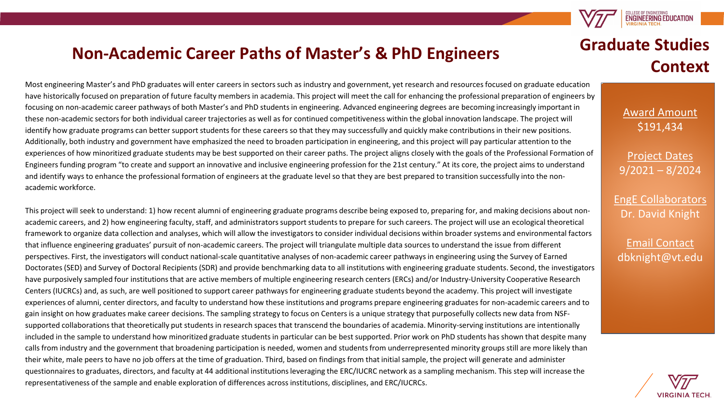

#### **Non-Academic Career Paths of Master's & PhD Engineers**

Most engineering Master's and PhD graduates will enter careers in sectors such as industry and government, yet research and resources focused on graduate education have historically focused on preparation of future faculty members in academia. This project will meet the call for enhancing the professional preparation of engineers by focusing on non-academic career pathways of both Master's and PhD students in engineering. Advanced engineering degrees are becoming increasingly important in these non-academic sectors for both individual career trajectories as well as for continued competitiveness within the global innovation landscape. The project will identify how graduate programs can better support students for these careers so that they may successfully and quickly make contributions in their new positions. Additionally, both industry and government have emphasized the need to broaden participation in engineering, and this project will pay particular attention to the experiences of how minoritized graduate students may be best supported on their career paths. The project aligns closely with the goals of the Professional Formation of Engineers funding program "to create and support an innovative and inclusive engineering profession for the 21st century." At its core, the project aims to understand and identify ways to enhance the professional formation of engineers at the graduate level so that they are best prepared to transition successfully into the nonacademic workforce.

This project will seek to understand: 1) how recent alumni of engineering graduate programs describe being exposed to, preparing for, and making decisions about nonacademic careers, and 2) how engineering faculty, staff, and administrators support students to prepare for such careers. The project will use an ecological theoretical framework to organize data collection and analyses, which will allow the investigators to consider individual decisions within broader systems and environmental factors that influence engineering graduates' pursuit of non-academic careers. The project will triangulate multiple data sources to understand the issue from different perspectives. First, the investigators will conduct national-scale quantitative analyses of non-academic career pathways in engineering using the Survey of Earned Doctorates (SED) and Survey of Doctoral Recipients (SDR) and provide benchmarking data to all institutions with engineering graduate students. Second, the investigators have purposively sampled four institutions that are active members of multiple engineering research centers (ERCs) and/or Industry-University Cooperative Research Centers (IUCRCs) and, as such, are well positioned to support career pathways for engineering graduate students beyond the academy. This project will investigate experiences of alumni, center directors, and faculty to understand how these institutions and programs prepare engineering graduates for non-academic careers and to gain insight on how graduates make career decisions. The sampling strategy to focus on Centers is a unique strategy that purposefully collects new data from NSFsupported collaborations that theoretically put students in research spaces that transcend the boundaries of academia. Minority-serving institutions are intentionally included in the sample to understand how minoritized graduate students in particular can be best supported. Prior work on PhD students has shown that despite many calls from industry and the government that broadening participation is needed, women and students from underrepresented minority groups still are more likely than their white, male peers to have no job offers at the time of graduation. Third, based on findings from that initial sample, the project will generate and administer questionnaires to graduates, directors, and faculty at 44 additional institutions leveraging the ERC/IUCRC network as a sampling mechanism. This step will increase the representativeness of the sample and enable exploration of differences across institutions, disciplines, and ERC/IUCRCs.

### **Graduate Studies Context**

Award Amount \$191,434

Project Dates 9/2021 – 8/2024

EngE Collaborators Dr. David Knight

Email Contact dbknight@vt.edu

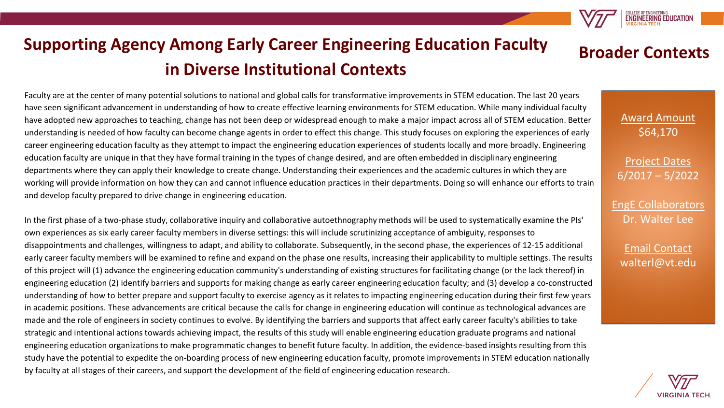

# **Supporting Agency Among Early Career Engineering Education Faculty in Diverse Institutional Contexts**

Faculty are at the center of many potential solutions to national and global calls for transformative improvements in STEM education. The last 20 years have seen significant advancement in understanding of how to create effective learning environments for STEM education. While many individual faculty have adopted new approaches to teaching, change has not been deep or widespread enough to make a major impact across all of STEM education. Better understanding is needed of how faculty can become change agents in order to effect this change. This study focuses on exploring the experiences of early career engineering education faculty as they attempt to impact the engineering education experiences of students locally and more broadly. Engineering education faculty are unique in that they have formal training in the types of change desired, and are often embedded in disciplinary engineering departments where they can apply their knowledge to create change. Understanding their experiences and the academic cultures in which they are working will provide information on how they can and cannot influence education practices in their departments. Doing so will enhance our efforts to train and develop faculty prepared to drive change in engineering education.

In the first phase of a two-phase study, collaborative inquiry and collaborative autoethnography methods will be used to systematically examine the PIs' own experiences as six early career faculty members in diverse settings: this will include scrutinizing acceptance of ambiguity, responses to disappointments and challenges, willingness to adapt, and ability to collaborate. Subsequently, in the second phase, the experiences of 12-15 additional early career faculty members will be examined to refine and expand on the phase one results, increasing their applicability to multiple settings. The results of this project will (1) advance the engineering education community's understanding of existing structures for facilitating change (or the lack thereof) in engineering education (2) identify barriers and supports for making change as early career engineering education faculty; and (3) develop a co-constructed understanding of how to better prepare and support faculty to exercise agency as it relates to impacting engineering education during their first few years in academic positions. These advancements are critical because the calls for change in engineering education will continue as technological advances are made and the role of engineers in society continues to evolve. By identifying the barriers and supports that affect early career faculty's abilities to take strategic and intentional actions towards achieving impact, the results of this study will enable engineering education graduate programs and national engineering education organizations to make programmatic changes to benefit future faculty. In addition, the evidence-based insights resulting from this study have the potential to expedite the on-boarding process of new engineering education faculty, promote improvements in STEM education nationally by faculty at all stages of their careers, and support the development of the field of engineering education research.

#### **Broader Contexts**

Award Amount \$64,170

Project Dates 6/2017 – 5/2022

EngE Collaborators Dr. Walter Lee

Email Contact walterl@vt.edu

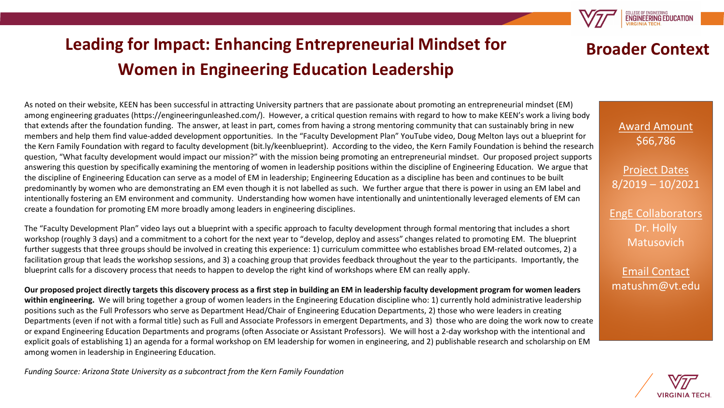# **Leading for Impact: Enhancing Entrepreneurial Mindset for Women in Engineering Education Leadership**



The "Faculty Development Plan" video lays out a blueprint with a specific approach to faculty development through formal mentoring that includes a short workshop (roughly 3 days) and a commitment to a cohort for the next year to "develop, deploy and assess" changes related to promoting EM. The blueprint further suggests that three groups should be involved in creating this experience: 1) curriculum committee who establishes broad EM-related outcomes, 2) a facilitation group that leads the workshop sessions, and 3) a coaching group that provides feedback throughout the year to the participants. Importantly, the blueprint calls for a discovery process that needs to happen to develop the right kind of workshops where EM can really apply.

**Our proposed project directly targets this discovery process as a first step in building an EM in leadership faculty development program for women leaders within engineering.** We will bring together a group of women leaders in the Engineering Education discipline who: 1) currently hold administrative leadership positions such as the Full Professors who serve as Department Head/Chair of Engineering Education Departments, 2) those who were leaders in creating Departments (even if not with a formal title) such as Full and Associate Professors in emergent Departments, and 3) those who are doing the work now to create or expand Engineering Education Departments and programs (often Associate or Assistant Professors). We will host a 2-day workshop with the intentional and explicit goals of establishing 1) an agenda for a formal workshop on EM leadership for women in engineering, and 2) publishable research and scholarship on EM among women in leadership in Engineering Education.

*Funding Source: Arizona State University as a subcontract from the Kern Family Foundation*

#### **Broader Context**

**ENGINEERING EDUCATION** 

Award Amount \$66,786

Project Dates 8/2019 – 10/2021

EngE Collaborators Dr. Holly Matusovich

Email Contact matushm@vt.edu

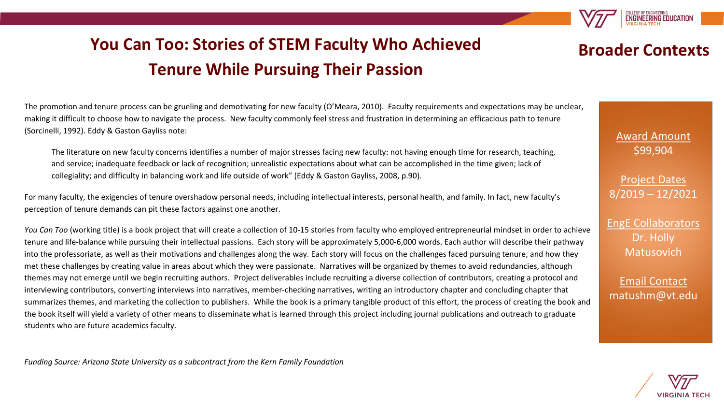**ENGINEERING EDUCATION** 

# **You Can Too: Stories of STEM Faculty Who Achieved Tenure While Pursuing Their Passion**

**Broader Contexts**

Award Amount \$99,904

Project Dates 8/2019 – 12/2021

EngE Collaborators Dr. Holly Matusovich

Email Contact matushm@vt.edu

The promotion and tenure process can be grueling and demotivating for new faculty (O'Meara, 2010). Faculty requirements and expectations may be unclear, making it difficult to choose how to navigate the process. New faculty commonly feel stress and frustration in determining an efficacious path to tenure (Sorcinelli, 1992). Eddy & Gaston Gayliss note:

The literature on new faculty concerns identifies a number of major stresses facing new faculty: not having enough time for research, teaching, and service; inadequate feedback or lack of recognition; unrealistic expectations about what can be accomplished in the time given; lack of collegiality; and difficulty in balancing work and life outside of work" (Eddy & Gaston Gayliss, 2008, p.90).

For many faculty, the exigencies of tenure overshadow personal needs, including intellectual interests, personal health, and family. In fact, new faculty's perception of tenure demands can pit these factors against one another.

*You Can Too* (working title) is a book project that will create a collection of 10-15 stories from faculty who employed entrepreneurial mindset in order to achieve tenure and life-balance while pursuing their intellectual passions. Each story will be approximately 5,000-6,000 words. Each author will describe their pathway into the professoriate, as well as their motivations and challenges along the way. Each story will focus on the challenges faced pursuing tenure, and how they met these challenges by creating value in areas about which they were passionate. Narratives will be organized by themes to avoid redundancies, although themes may not emerge until we begin recruiting authors. Project deliverables include recruiting a diverse collection of contributors, creating a protocol and interviewing contributors, converting interviews into narratives, member-checking narratives, writing an introductory chapter and concluding chapter that summarizes themes, and marketing the collection to publishers. While the book is a primary tangible product of this effort, the process of creating the book and the book itself will yield a variety of other means to disseminate what is learned through this project including journal publications and outreach to graduate students who are future academics faculty.

*Funding Source: Arizona State University as a subcontract from the Kern Family Foundation*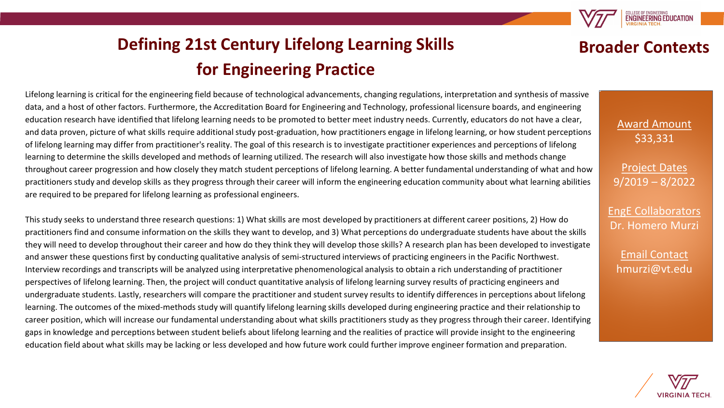**ENGINEERING EDUCATIO** 

**Broader Contexts**

# **Defining 21st Century Lifelong Learning Skills for Engineering Practice**

Lifelong learning is critical for the engineering field because of technological advancements, changing regulations, interpretation and synthesis of massive data, and a host of other factors. Furthermore, the Accreditation Board for Engineering and Technology, professional licensure boards, and engineering education research have identified that lifelong learning needs to be promoted to better meet industry needs. Currently, educators do not have a clear, and data proven, picture of what skills require additional study post-graduation, how practitioners engage in lifelong learning, or how student perceptions of lifelong learning may differ from practitioner's reality. The goal of this research is to investigate practitioner experiences and perceptions of lifelong learning to determine the skills developed and methods of learning utilized. The research will also investigate how those skills and methods change throughout career progression and how closely they match student perceptions of lifelong learning. A better fundamental understanding of what and how practitioners study and develop skills as they progress through their career will inform the engineering education community about what learning abilities are required to be prepared for lifelong learning as professional engineers.

This study seeks to understand three research questions: 1) What skills are most developed by practitioners at different career positions, 2) How do practitioners find and consume information on the skills they want to develop, and 3) What perceptions do undergraduate students have about the skills they will need to develop throughout their career and how do they think they will develop those skills? A research plan has been developed to investigate and answer these questions first by conducting qualitative analysis of semi-structured interviews of practicing engineers in the Pacific Northwest. Interview recordings and transcripts will be analyzed using interpretative phenomenological analysis to obtain a rich understanding of practitioner perspectives of lifelong learning. Then, the project will conduct quantitative analysis of lifelong learning survey results of practicing engineers and undergraduate students. Lastly, researchers will compare the practitioner and student survey results to identify differences in perceptions about lifelong learning. The outcomes of the mixed-methods study will quantify lifelong learning skills developed during engineering practice and their relationship to career position, which will increase our fundamental understanding about what skills practitioners study as they progress through their career. Identifying gaps in knowledge and perceptions between student beliefs about lifelong learning and the realities of practice will provide insight to the engineering education field about what skills may be lacking or less developed and how future work could further improve engineer formation and preparation.



Award Amount \$33,331

Project Dates 9/2019 – 8/2022

EngE Collaborators Dr. Homero Murzi

Email Contact hmurzi@vt.edu

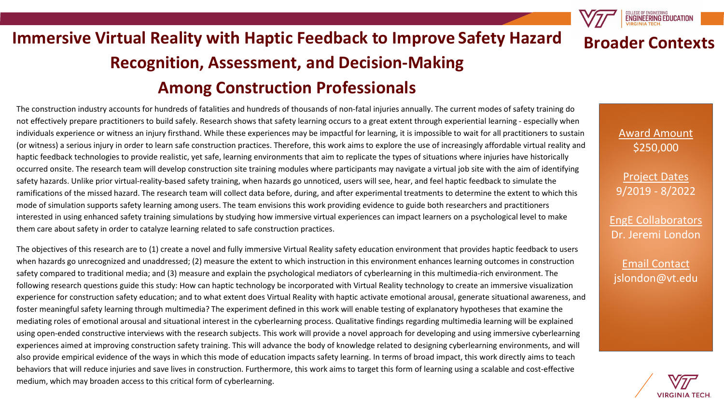#### **Immersive Virtual Reality with Haptic Feedback to Improve Safety Hazard Recognition, Assessment, and Decision-Making Among Construction Professionals Broader Contexts**

#### The construction industry accounts for hundreds of fatalities and hundreds of thousands of non-fatal injuries annually. The current modes of safety training do not effectively prepare practitioners to build safely. Research shows that safety learning occurs to a great extent through experiential learning - especially when individuals experience or witness an injury firsthand. While these experiences may be impactful for learning, it is impossible to wait for all practitioners to sustain (or witness) a serious injury in order to learn safe construction practices. Therefore, this work aims to explore the use of increasingly affordable virtual reality and haptic feedback technologies to provide realistic, yet safe, learning environments that aim to replicate the types of situations where injuries have historically occurred onsite. The research team will develop construction site training modules where participants may navigate a virtual job site with the aim of identifying safety hazards. Unlike prior virtual-reality-based safety training, when hazards go unnoticed, users will see, hear, and feel haptic feedback to simulate the ramifications of the missed hazard. The research team will collect data before, during, and after experimental treatments to determine the extent to which this mode of simulation supports safety learning among users. The team envisions this work providing evidence to guide both researchers and practitioners interested in using enhanced safety training simulations by studying how immersive virtual experiences can impact learners on a psychological level to make them care about safety in order to catalyze learning related to safe construction practices.

The objectives of this research are to (1) create a novel and fully immersive Virtual Reality safety education environment that provides haptic feedback to users when hazards go unrecognized and unaddressed; (2) measure the extent to which instruction in this environment enhances learning outcomes in construction safety compared to traditional media; and (3) measure and explain the psychological mediators of cyberlearning in this multimedia-rich environment. The following research questions guide this study: How can haptic technology be incorporated with Virtual Reality technology to create an immersive visualization experience for construction safety education; and to what extent does Virtual Reality with haptic activate emotional arousal, generate situational awareness, and foster meaningful safety learning through multimedia? The experiment defined in this work will enable testing of explanatory hypotheses that examine the mediating roles of emotional arousal and situational interest in the cyberlearning process. Qualitative findings regarding multimedia learning will be explained using open-ended constructive interviews with the research subjects. This work will provide a novel approach for developing and using immersive cyberlearning experiences aimed at improving construction safety training. This will advance the body of knowledge related to designing cyberlearning environments, and will also provide empirical evidence of the ways in which this mode of education impacts safety learning. In terms of broad impact, this work directly aims to teach behaviors that will reduce injuries and save lives in construction. Furthermore, this work aims to target this form of learning using a scalable and cost-effective medium, which may broaden access to this critical form of cyberlearning.

Award Amount \$250,000

**ENGINEERING EDUCATION** 

Project Dates 9/2019 - 8/2022

EngE Collaborators Dr. Jeremi London

Email Contact jslondon@vt.edu

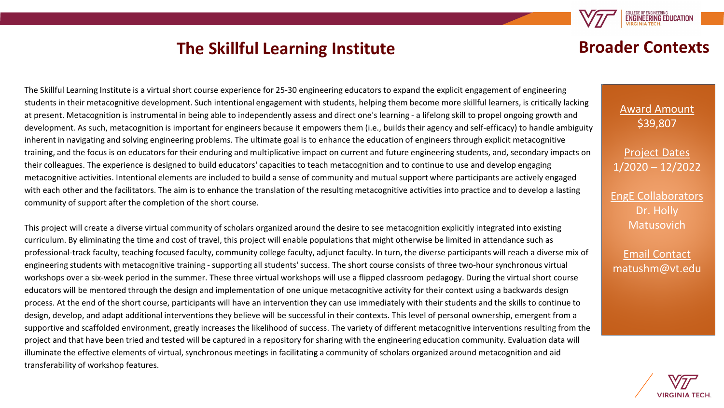#### **The Skillful Learning Institute**

#### **Broader Contexts**

**ENGINEERING EDUCATIO** 

The Skillful Learning Institute is a virtual short course experience for 25-30 engineering educators to expand the explicit engagement of engineering students in their metacognitive development. Such intentional engagement with students, helping them become more skillful learners, is critically lacking at present. Metacognition is instrumental in being able to independently assess and direct one's learning - a lifelong skill to propel ongoing growth and development. As such, metacognition is important for engineers because it empowers them (i.e., builds their agency and self-efficacy) to handle ambiguity inherent in navigating and solving engineering problems. The ultimate goal is to enhance the education of engineers through explicit metacognitive training, and the focus is on educators for their enduring and multiplicative impact on current and future engineering students, and, secondary impacts on their colleagues. The experience is designed to build educators' capacities to teach metacognition and to continue to use and develop engaging metacognitive activities. Intentional elements are included to build a sense of community and mutual support where participants are actively engaged with each other and the facilitators. The aim is to enhance the translation of the resulting metacognitive activities into practice and to develop a lasting community of support after the completion of the short course.

This project will create a diverse virtual community of scholars organized around the desire to see metacognition explicitly integrated into existing curriculum. By eliminating the time and cost of travel, this project will enable populations that might otherwise be limited in attendance such as professional-track faculty, teaching focused faculty, community college faculty, adjunct faculty. In turn, the diverse participants will reach a diverse mix of engineering students with metacognitive training - supporting all students' success. The short course consists of three two-hour synchronous virtual workshops over a six-week period in the summer. These three virtual workshops will use a flipped classroom pedagogy. During the virtual short course educators will be mentored through the design and implementation of one unique metacognitive activity for their context using a backwards design process. At the end of the short course, participants will have an intervention they can use immediately with their students and the skills to continue to design, develop, and adapt additional interventions they believe will be successful in their contexts. This level of personal ownership, emergent from a supportive and scaffolded environment, greatly increases the likelihood of success. The variety of different metacognitive interventions resulting from the project and that have been tried and tested will be captured in a repository for sharing with the engineering education community. Evaluation data will illuminate the effective elements of virtual, synchronous meetings in facilitating a community of scholars organized around metacognition and aid transferability of workshop features.

Award Amount \$39,807

Project Dates 1/2020 – 12/2022

EngE Collaborators Dr. Holly Matusovich

Email Contact matushm@vt.edu

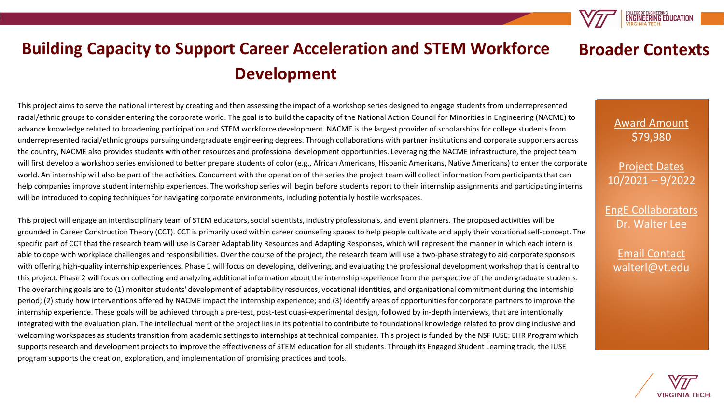

#### **Building Capacity to Support Career Acceleration and STEM Workforce Development Broader Contexts**

This project aims to serve the national interest by creating and then assessing the impact of a workshop series designed to engage students from underrepresented racial/ethnic groups to consider entering the corporate world. The goal is to build the capacity of the National Action Council for Minorities in Engineering (NACME) to advance knowledge related to broadening participation and STEM workforce development. NACME is the largest provider of scholarships for college students from underrepresented racial/ethnic groups pursuing undergraduate engineering degrees. Through collaborations with partner institutions and corporate supporters across the country, NACME also provides students with other resources and professional development opportunities. Leveraging the NACME infrastructure, the project team will first develop a workshop series envisioned to better prepare students of color (e.g., African Americans, Hispanic Americans, Native Americans) to enter the corporate world. An internship will also be part of the activities. Concurrent with the operation of the series the project team will collect information from participants that can help companies improve student internship experiences. The workshop series will begin before students report to their internship assignments and participating interns will be introduced to coping techniques for navigating corporate environments, including potentially hostile workspaces.

This project will engage an interdisciplinary team of STEM educators, social scientists, industry professionals, and event planners. The proposed activities will be grounded in Career Construction Theory (CCT). CCT is primarily used within career counseling spaces to help people cultivate and apply their vocational self-concept. The specific part of CCT that the research team will use is Career Adaptability Resources and Adapting Responses, which will represent the manner in which each intern is able to cope with workplace challenges and responsibilities. Over the course of the project, the research team will use a two-phase strategy to aid corporate sponsors with offering high-quality internship experiences. Phase 1 will focus on developing, delivering, and evaluating the professional development workshop that is central to this project. Phase 2 will focus on collecting and analyzing additional information about the internship experience from the perspective of the undergraduate students. The overarching goals are to (1) monitor students' development of adaptability resources, vocational identities, and organizational commitment during the internship period; (2) study how interventions offered by NACME impact the internship experience; and (3) identify areas of opportunities for corporate partners to improve the internship experience. These goals will be achieved through a pre-test, post-test quasi-experimental design, followed by in-depth interviews, that are intentionally integrated with the evaluation plan. The intellectual merit of the project lies in its potential to contribute to foundational knowledge related to providing inclusive and welcoming workspaces as students transition from academic settings to internships at technical companies. This project is funded by the NSF IUSE: EHR Program which supports research and development projects to improve the effectiveness of STEM education for all students. Through its Engaged Student Learning track, the IUSE program supports the creation, exploration, and implementation of promising practices and tools.

Award Amount \$79,980

Project Dates 10/2021 – 9/2022

EngE Collaborators Dr. Walter Lee

Email Contact walterl@vt.edu

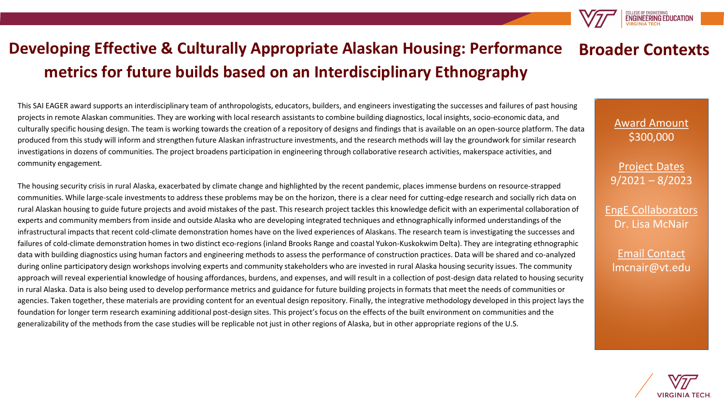#### **Developing Effective & Culturally Appropriate Alaskan Housing: Performance metrics for future builds based on an Interdisciplinary Ethnography Broader Contexts**

This SAI EAGER award supports an interdisciplinary team of anthropologists, educators, builders, and engineers investigating the successes and failures of past housing projects in remote Alaskan communities. They are working with local research assistants to combine building diagnostics, local insights, socio-economic data, and culturally specific housing design. The team is working towards the creation of a repository of designs and findings that is available on an open-source platform. The data produced from this study will inform and strengthen future Alaskan infrastructure investments, and the research methods will lay the groundwork for similar research investigations in dozens of communities. The project broadens participation in engineering through collaborative research activities, makerspace activities, and community engagement.

The housing security crisis in rural Alaska, exacerbated by climate change and highlighted by the recent pandemic, places immense burdens on resource-strapped communities. While large-scale investments to address these problems may be on the horizon, there is a clear need for cutting-edge research and socially rich data on rural Alaskan housing to guide future projects and avoid mistakes of the past. This research project tackles this knowledge deficit with an experimental collaboration of experts and community members from inside and outside Alaska who are developing integrated techniques and ethnographically informed understandings of the infrastructural impacts that recent cold-climate demonstration homes have on the lived experiences of Alaskans. The research team is investigating the successes and failures of cold-climate demonstration homes in two distinct eco-regions (inland Brooks Range and coastal Yukon-Kuskokwim Delta). They are integrating ethnographic data with building diagnostics using human factors and engineering methods to assess the performance of construction practices. Data will be shared and co-analyzed during online participatory design workshops involving experts and community stakeholders who are invested in rural Alaska housing security issues. The community approach will reveal experiential knowledge of housing affordances, burdens, and expenses, and will result in a collection of post-design data related to housing security in rural Alaska. Data is also being used to develop performance metrics and guidance for future building projects in formats that meet the needs of communities or agencies. Taken together, these materials are providing content for an eventual design repository. Finally, the integrative methodology developed in this project lays the foundation for longer term research examining additional post-design sites. This project's focus on the effects of the built environment on communities and the generalizability of the methods from the case studies will be replicable not just in other regions of Alaska, but in other appropriate regions of the U.S.

#### Award Amount \$300,000

COLLEGE OF ENGINEERING<br>**ENGINEERING EDUCATION** 

Project Dates 9/2021 – 8/2023

EngE Collaborators Dr. Lisa McNair

Email Contact lmcnair@vt.edu

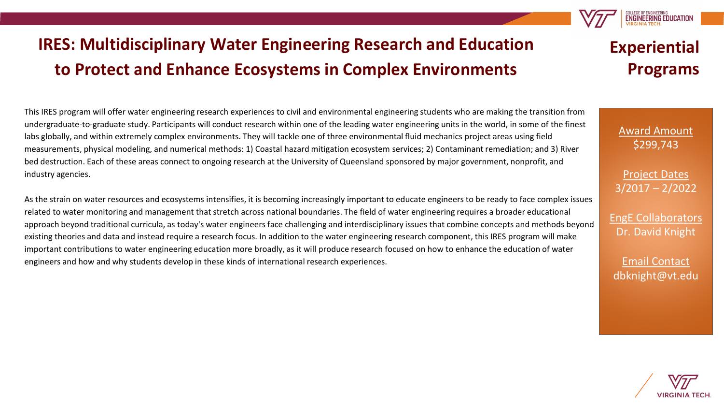# **IRES: Multidisciplinary Water Engineering Research and Education to Protect and Enhance Ecosystems in Complex Environments**

This IRES program will offer water engineering research experiences to civil and environmental engineering students who are making the transition from undergraduate-to-graduate study. Participants will conduct research within one of the leading water engineering units in the world, in some of the finest labs globally, and within extremely complex environments. They will tackle one of three environmental fluid mechanics project areas using field measurements, physical modeling, and numerical methods: 1) Coastal hazard mitigation ecosystem services; 2) Contaminant remediation; and 3) River bed destruction. Each of these areas connect to ongoing research at the University of Queensland sponsored by major government, nonprofit, and industry agencies.

As the strain on water resources and ecosystems intensifies, it is becoming increasingly important to educate engineers to be ready to face complex issues related to water monitoring and management that stretch across national boundaries. The field of water engineering requires a broader educational approach beyond traditional curricula, as today's water engineers face challenging and interdisciplinary issues that combine concepts and methods beyond existing theories and data and instead require a research focus. In addition to the water engineering research component, this IRES program will make important contributions to water engineering education more broadly, as it will produce research focused on how to enhance the education of water engineers and how and why students develop in these kinds of international research experiences.

### **Experiential Programs**

COLLEGE OF ENGINEERING<br>ENGINEERING EDUCATION

Award Amount \$299,743

Project Dates 3/2017 – 2/2022

EngE Collaborators Dr. David Knight

Email Contact dbknight@vt.edu